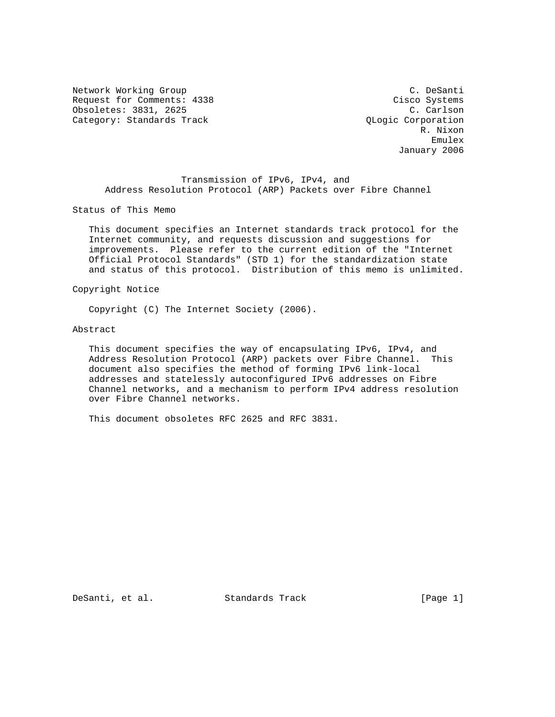Network Working Group C. Desanti Request for Comments: 4338 Cisco Systems Obsoletes: 3831, 2625 C. Carlson Category: Standards Track Category: Standards Track

 R. Nixon experience of the contract of the contract of the contract of the contract of the contract of the contract of the contract of the contract of the contract of the contract of the contract of the contract of the contract of January 2006

 Transmission of IPv6, IPv4, and Address Resolution Protocol (ARP) Packets over Fibre Channel

Status of This Memo

 This document specifies an Internet standards track protocol for the Internet community, and requests discussion and suggestions for improvements. Please refer to the current edition of the "Internet Official Protocol Standards" (STD 1) for the standardization state and status of this protocol. Distribution of this memo is unlimited.

Copyright Notice

Copyright (C) The Internet Society (2006).

Abstract

 This document specifies the way of encapsulating IPv6, IPv4, and Address Resolution Protocol (ARP) packets over Fibre Channel. This document also specifies the method of forming IPv6 link-local addresses and statelessly autoconfigured IPv6 addresses on Fibre Channel networks, and a mechanism to perform IPv4 address resolution over Fibre Channel networks.

This document obsoletes RFC 2625 and RFC 3831.

DeSanti, et al. Standards Track [Page 1]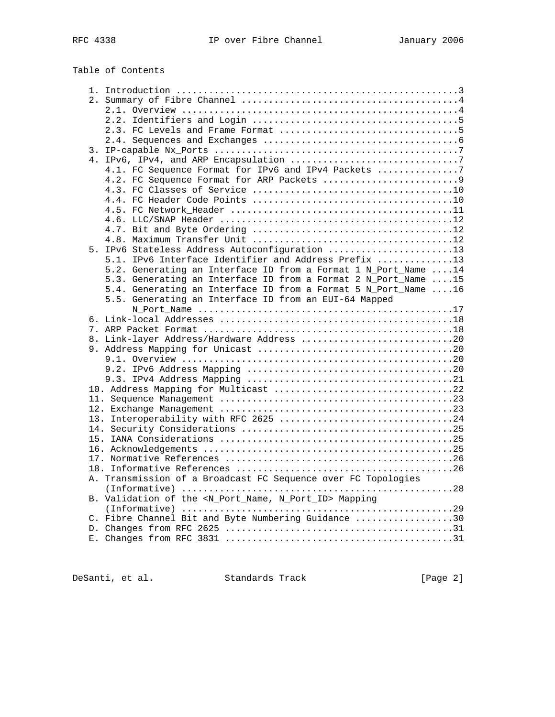# Table of Contents

| 4.1. FC Sequence Format for IPv6 and IPv4 Packets 7                     |
|-------------------------------------------------------------------------|
|                                                                         |
|                                                                         |
|                                                                         |
|                                                                         |
|                                                                         |
|                                                                         |
|                                                                         |
|                                                                         |
| 5. IPv6 Stateless Address Autoconfiguration 13                          |
| 5.1. IPv6 Interface Identifier and Address Prefix 13                    |
| 5.2. Generating an Interface ID from a Format 1 N_Port_Name 14          |
| 5.3. Generating an Interface ID from a Format 2 N_Port_Name 15          |
| 5.4. Generating an Interface ID from a Format 5 N_Port_Name 16          |
| 5.5. Generating an Interface ID from an EUI-64 Mapped                   |
|                                                                         |
|                                                                         |
|                                                                         |
| 8. Link-layer Address/Hardware Address 20                               |
|                                                                         |
|                                                                         |
|                                                                         |
|                                                                         |
|                                                                         |
|                                                                         |
|                                                                         |
|                                                                         |
|                                                                         |
|                                                                         |
|                                                                         |
|                                                                         |
|                                                                         |
| A. Transmission of a Broadcast FC Sequence over FC Topologies           |
|                                                                         |
| B. Validation of the <n_port_name, n_port_id=""> Mapping</n_port_name,> |
|                                                                         |
| C. Fibre Channel Bit and Byte Numbering Guidance 30                     |
|                                                                         |
|                                                                         |
|                                                                         |

DeSanti, et al. Standards Track [Page 2]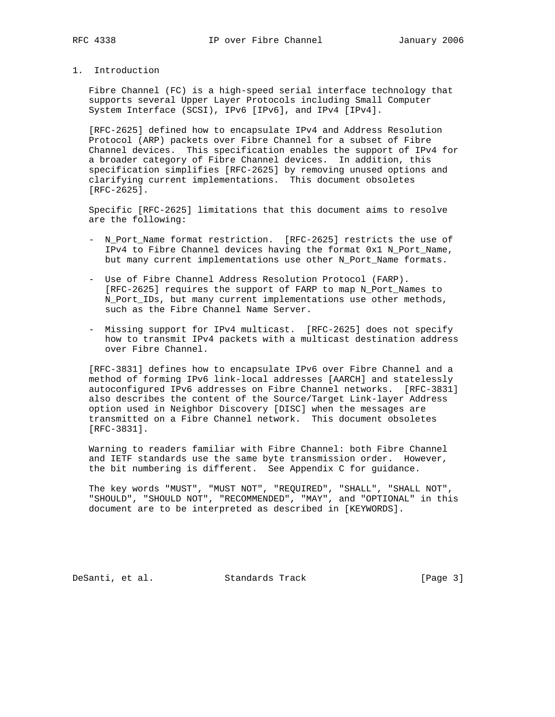- 
- 1. Introduction

 Fibre Channel (FC) is a high-speed serial interface technology that supports several Upper Layer Protocols including Small Computer System Interface (SCSI), IPv6 [IPv6], and IPv4 [IPv4].

 [RFC-2625] defined how to encapsulate IPv4 and Address Resolution Protocol (ARP) packets over Fibre Channel for a subset of Fibre Channel devices. This specification enables the support of IPv4 for a broader category of Fibre Channel devices. In addition, this specification simplifies [RFC-2625] by removing unused options and clarifying current implementations. This document obsoletes [RFC-2625].

 Specific [RFC-2625] limitations that this document aims to resolve are the following:

- N\_Port\_Name format restriction. [RFC-2625] restricts the use of IPv4 to Fibre Channel devices having the format 0x1 N\_Port\_Name, but many current implementations use other N\_Port\_Name formats.
- Use of Fibre Channel Address Resolution Protocol (FARP). [RFC-2625] requires the support of FARP to map N\_Port\_Names to N\_Port\_IDs, but many current implementations use other methods, such as the Fibre Channel Name Server.
- Missing support for IPv4 multicast. [RFC-2625] does not specify how to transmit IPv4 packets with a multicast destination address over Fibre Channel.

 [RFC-3831] defines how to encapsulate IPv6 over Fibre Channel and a method of forming IPv6 link-local addresses [AARCH] and statelessly autoconfigured IPv6 addresses on Fibre Channel networks. [RFC-3831] also describes the content of the Source/Target Link-layer Address option used in Neighbor Discovery [DISC] when the messages are transmitted on a Fibre Channel network. This document obsoletes [RFC-3831].

 Warning to readers familiar with Fibre Channel: both Fibre Channel and IETF standards use the same byte transmission order. However, the bit numbering is different. See Appendix C for guidance.

 The key words "MUST", "MUST NOT", "REQUIRED", "SHALL", "SHALL NOT", "SHOULD", "SHOULD NOT", "RECOMMENDED", "MAY", and "OPTIONAL" in this document are to be interpreted as described in [KEYWORDS].

DeSanti, et al. Standards Track [Page 3]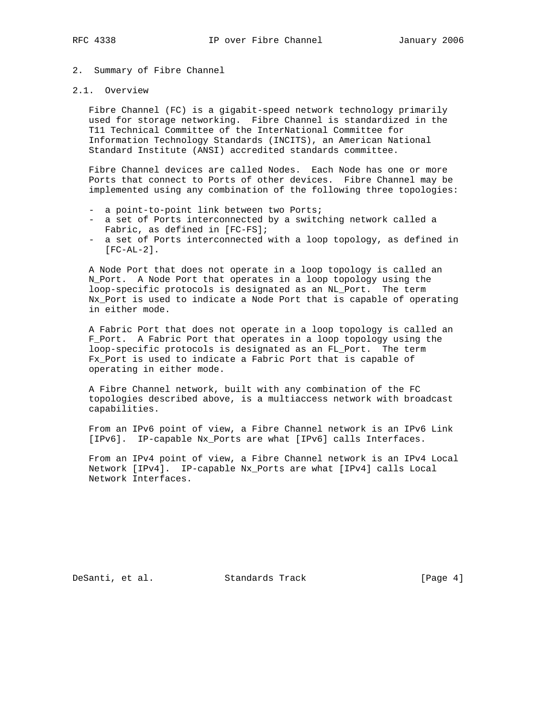# 2. Summary of Fibre Channel

## 2.1. Overview

 Fibre Channel (FC) is a gigabit-speed network technology primarily used for storage networking. Fibre Channel is standardized in the T11 Technical Committee of the InterNational Committee for Information Technology Standards (INCITS), an American National Standard Institute (ANSI) accredited standards committee.

 Fibre Channel devices are called Nodes. Each Node has one or more Ports that connect to Ports of other devices. Fibre Channel may be implemented using any combination of the following three topologies:

- a point-to-point link between two Ports;
- a set of Ports interconnected by a switching network called a Fabric, as defined in [FC-FS];
- a set of Ports interconnected with a loop topology, as defined in [FC-AL-2].

 A Node Port that does not operate in a loop topology is called an N\_Port. A Node Port that operates in a loop topology using the loop-specific protocols is designated as an NL\_Port. The term Nx\_Port is used to indicate a Node Port that is capable of operating in either mode.

 A Fabric Port that does not operate in a loop topology is called an F\_Port. A Fabric Port that operates in a loop topology using the loop-specific protocols is designated as an FL\_Port. The term Fx\_Port is used to indicate a Fabric Port that is capable of operating in either mode.

 A Fibre Channel network, built with any combination of the FC topologies described above, is a multiaccess network with broadcast capabilities.

 From an IPv6 point of view, a Fibre Channel network is an IPv6 Link [IPv6]. IP-capable Nx\_Ports are what [IPv6] calls Interfaces.

 From an IPv4 point of view, a Fibre Channel network is an IPv4 Local Network [IPv4]. IP-capable Nx\_Ports are what [IPv4] calls Local Network Interfaces.

DeSanti, et al. Standards Track [Page 4]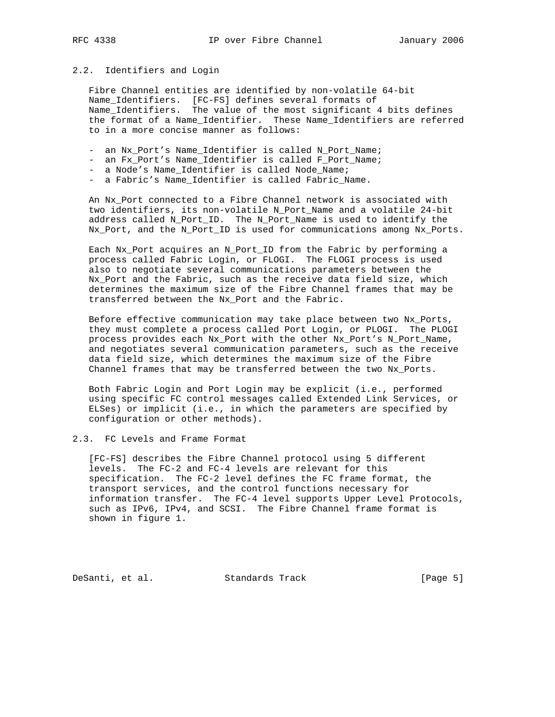## 2.2. Identifiers and Login

 Fibre Channel entities are identified by non-volatile 64-bit Name\_Identifiers. [FC-FS] defines several formats of Name\_Identifiers. The value of the most significant 4 bits defines the format of a Name\_Identifier. These Name\_Identifiers are referred to in a more concise manner as follows:

- an Nx\_Port's Name\_Identifier is called N\_Port\_Name;
- an Fx Port's Name Identifier is called F Port Name;
- a Node's Name\_Identifier is called Node\_Name;
- a Fabric's Name\_Identifier is called Fabric\_Name.

 An Nx\_Port connected to a Fibre Channel network is associated with two identifiers, its non-volatile N\_Port\_Name and a volatile 24-bit address called N\_Port\_ID. The N\_Port\_Name is used to identify the Nx\_Port, and the N\_Port\_ID is used for communications among Nx\_Ports.

 Each Nx\_Port acquires an N\_Port\_ID from the Fabric by performing a process called Fabric Login, or FLOGI. The FLOGI process is used also to negotiate several communications parameters between the Nx\_Port and the Fabric, such as the receive data field size, which determines the maximum size of the Fibre Channel frames that may be transferred between the Nx\_Port and the Fabric.

 Before effective communication may take place between two Nx\_Ports, they must complete a process called Port Login, or PLOGI. The PLOGI process provides each Nx\_Port with the other Nx\_Port's N\_Port\_Name, and negotiates several communication parameters, such as the receive data field size, which determines the maximum size of the Fibre Channel frames that may be transferred between the two Nx\_Ports.

 Both Fabric Login and Port Login may be explicit (i.e., performed using specific FC control messages called Extended Link Services, or ELSes) or implicit (i.e., in which the parameters are specified by configuration or other methods).

## 2.3. FC Levels and Frame Format

 [FC-FS] describes the Fibre Channel protocol using 5 different levels. The FC-2 and FC-4 levels are relevant for this specification. The FC-2 level defines the FC frame format, the transport services, and the control functions necessary for information transfer. The FC-4 level supports Upper Level Protocols, such as IPv6, IPv4, and SCSI. The Fibre Channel frame format is shown in figure 1.

DeSanti, et al. Standards Track [Page 5]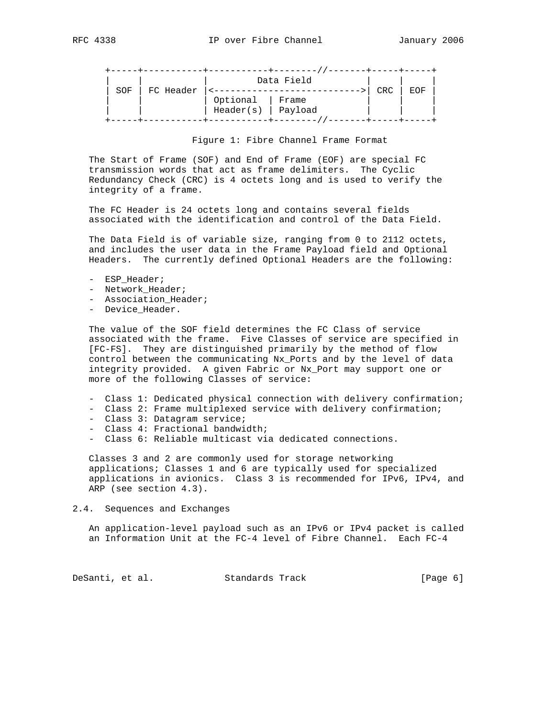|     |           |           | Data Field |            |     |  |
|-----|-----------|-----------|------------|------------|-----|--|
| SOF | FC Header |           |            | <b>CRC</b> | EOF |  |
|     |           | Optional  | Frame      |            |     |  |
|     |           | Header(s) | Payload    |            |     |  |
|     |           |           |            |            |     |  |

## Figure 1: Fibre Channel Frame Format

 The Start of Frame (SOF) and End of Frame (EOF) are special FC transmission words that act as frame delimiters. The Cyclic Redundancy Check (CRC) is 4 octets long and is used to verify the integrity of a frame.

 The FC Header is 24 octets long and contains several fields associated with the identification and control of the Data Field.

 The Data Field is of variable size, ranging from 0 to 2112 octets, and includes the user data in the Frame Payload field and Optional Headers. The currently defined Optional Headers are the following:

- ESP Header;
- Network\_Header;
- Association\_Header;
- Device\_Header.

 The value of the SOF field determines the FC Class of service associated with the frame. Five Classes of service are specified in [FC-FS]. They are distinguished primarily by the method of flow control between the communicating Nx\_Ports and by the level of data integrity provided. A given Fabric or Nx\_Port may support one or more of the following Classes of service:

- Class 1: Dedicated physical connection with delivery confirmation;
- Class 2: Frame multiplexed service with delivery confirmation;
- Class 3: Datagram service;
- Class 4: Fractional bandwidth;
- Class 6: Reliable multicast via dedicated connections.

 Classes 3 and 2 are commonly used for storage networking applications; Classes 1 and 6 are typically used for specialized applications in avionics. Class 3 is recommended for IPv6, IPv4, and ARP (see section 4.3).

#### 2.4. Sequences and Exchanges

 An application-level payload such as an IPv6 or IPv4 packet is called an Information Unit at the FC-4 level of Fibre Channel. Each FC-4

DeSanti, et al. Standards Track [Page 6]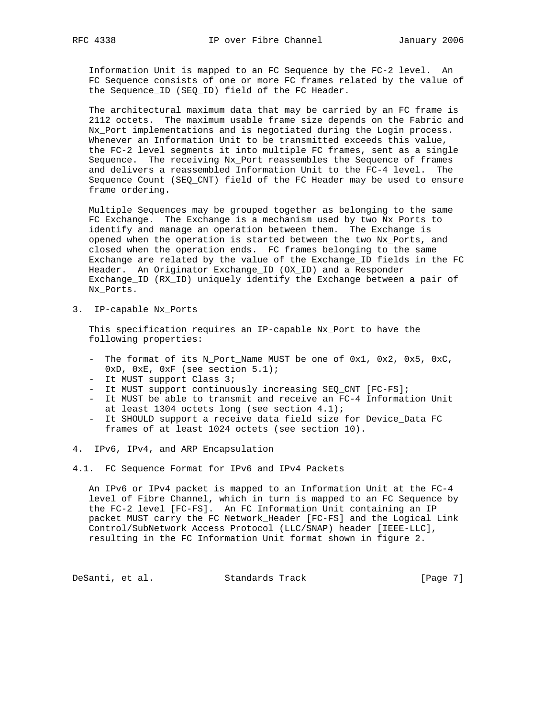Information Unit is mapped to an FC Sequence by the FC-2 level. An FC Sequence consists of one or more FC frames related by the value of the Sequence\_ID (SEQ\_ID) field of the FC Header.

 The architectural maximum data that may be carried by an FC frame is 2112 octets. The maximum usable frame size depends on the Fabric and Nx\_Port implementations and is negotiated during the Login process. Whenever an Information Unit to be transmitted exceeds this value, the FC-2 level segments it into multiple FC frames, sent as a single Sequence. The receiving Nx\_Port reassembles the Sequence of frames and delivers a reassembled Information Unit to the FC-4 level. The Sequence Count (SEQ\_CNT) field of the FC Header may be used to ensure frame ordering.

 Multiple Sequences may be grouped together as belonging to the same FC Exchange. The Exchange is a mechanism used by two Nx\_Ports to identify and manage an operation between them. The Exchange is opened when the operation is started between the two Nx\_Ports, and closed when the operation ends. FC frames belonging to the same Exchange are related by the value of the Exchange\_ID fields in the FC Header. An Originator Exchange\_ID (OX\_ID) and a Responder Exchange\_ID (RX\_ID) uniquely identify the Exchange between a pair of Nx\_Ports.

3. IP-capable Nx\_Ports

 This specification requires an IP-capable Nx\_Port to have the following properties:

- The format of its N\_Port\_Name MUST be one of 0x1, 0x2, 0x5, 0xC,  $0xD$ ,  $0xE$ ,  $0xF$  (see section  $5.1$ );
- It MUST support Class 3;
- It MUST support continuously increasing SEQ\_CNT [FC-FS];
- It MUST be able to transmit and receive an FC-4 Information Unit at least 1304 octets long (see section 4.1);
- It SHOULD support a receive data field size for Device\_Data FC frames of at least 1024 octets (see section 10).
- 4. IPv6, IPv4, and ARP Encapsulation
- 4.1. FC Sequence Format for IPv6 and IPv4 Packets

 An IPv6 or IPv4 packet is mapped to an Information Unit at the FC-4 level of Fibre Channel, which in turn is mapped to an FC Sequence by the FC-2 level [FC-FS]. An FC Information Unit containing an IP packet MUST carry the FC Network\_Header [FC-FS] and the Logical Link Control/SubNetwork Access Protocol (LLC/SNAP) header [IEEE-LLC], resulting in the FC Information Unit format shown in figure 2.

DeSanti, et al. Standards Track [Page 7]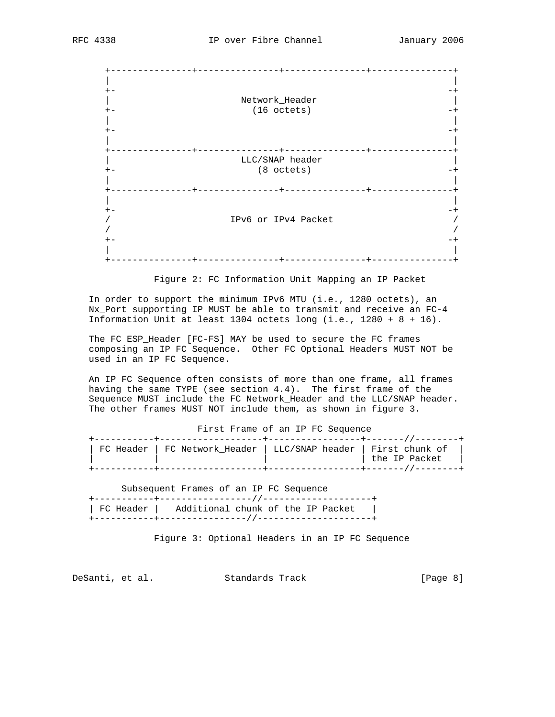| Network_Header      |  |
|---------------------|--|
| (16 octets)         |  |
|                     |  |
|                     |  |
|                     |  |
|                     |  |
|                     |  |
| LLC/SNAP header     |  |
| $(8$ octets)        |  |
|                     |  |
|                     |  |
|                     |  |
|                     |  |
|                     |  |
| IPv6 or IPv4 Packet |  |
|                     |  |
|                     |  |
|                     |  |
|                     |  |

Figure 2: FC Information Unit Mapping an IP Packet

 In order to support the minimum IPv6 MTU (i.e., 1280 octets), an Nx\_Port supporting IP MUST be able to transmit and receive an FC-4 Information Unit at least 1304 octets long (i.e., 1280 + 8 + 16).

 The FC ESP\_Header [FC-FS] MAY be used to secure the FC frames composing an IP FC Sequence. Other FC Optional Headers MUST NOT be used in an IP FC Sequence.

 An IP FC Sequence often consists of more than one frame, all frames having the same TYPE (see section 4.4). The first frame of the Sequence MUST include the FC Network Header and the LLC/SNAP header. The other frames MUST NOT include them, as shown in figure 3.

First Frame of an IP FC Sequence

|  | FC Header   FC Network Header   LLC/SNAP header   First chunk of |               |
|--|------------------------------------------------------------------|---------------|
|  |                                                                  | the IP Packet |
|  |                                                                  |               |

Subsequent Frames of an IP FC Sequence

| ___________________________                   |  |  |
|-----------------------------------------------|--|--|
| FC Header   Additional chunk of the IP Packet |  |  |
|                                               |  |  |

Figure 3: Optional Headers in an IP FC Sequence

DeSanti, et al. Standards Track [Page 8]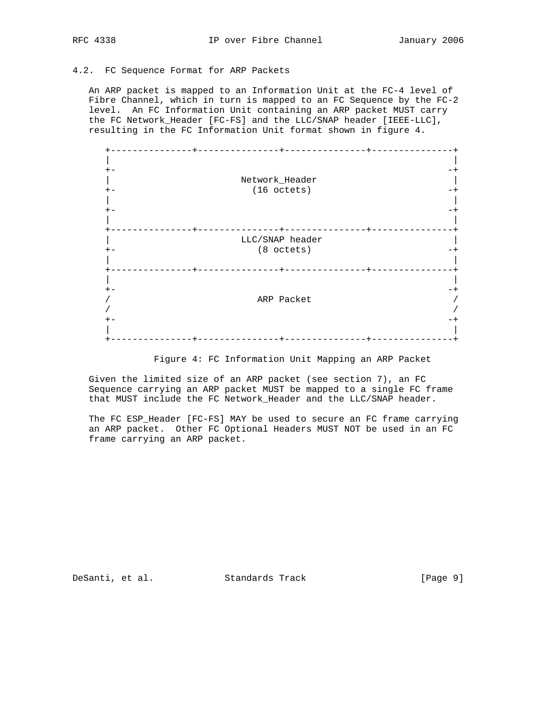## 4.2. FC Sequence Format for ARP Packets

 An ARP packet is mapped to an Information Unit at the FC-4 level of Fibre Channel, which in turn is mapped to an FC Sequence by the FC-2 level. An FC Information Unit containing an ARP packet MUST carry the FC Network\_Header [FC-FS] and the LLC/SNAP header [IEEE-LLC], resulting in the FC Information Unit format shown in figure 4.



Figure 4: FC Information Unit Mapping an ARP Packet

 Given the limited size of an ARP packet (see section 7), an FC Sequence carrying an ARP packet MUST be mapped to a single FC frame that MUST include the FC Network\_Header and the LLC/SNAP header.

 The FC ESP\_Header [FC-FS] MAY be used to secure an FC frame carrying an ARP packet. Other FC Optional Headers MUST NOT be used in an FC frame carrying an ARP packet.

DeSanti, et al. Standards Track [Page 9]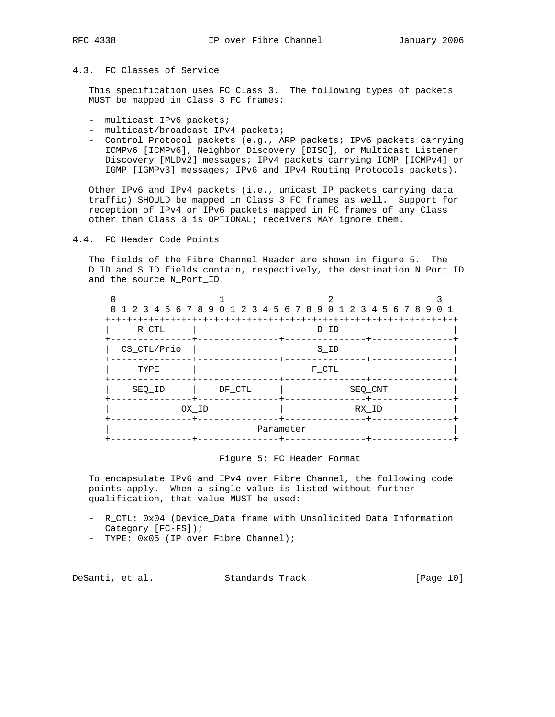# 4.3. FC Classes of Service

 This specification uses FC Class 3. The following types of packets MUST be mapped in Class 3 FC frames:

- multicast IPv6 packets;
- multicast/broadcast IPv4 packets;
- Control Protocol packets (e.g., ARP packets; IPv6 packets carrying ICMPv6 [ICMPv6], Neighbor Discovery [DISC], or Multicast Listener Discovery [MLDv2] messages; IPv4 packets carrying ICMP [ICMPv4] or IGMP [IGMPv3] messages; IPv6 and IPv4 Routing Protocols packets).

 Other IPv6 and IPv4 packets (i.e., unicast IP packets carrying data traffic) SHOULD be mapped in Class 3 FC frames as well. Support for reception of IPv4 or IPv6 packets mapped in FC frames of any Class other than Class 3 is OPTIONAL; receivers MAY ignore them.

4.4. FC Header Code Points

 The fields of the Fibre Channel Header are shown in figure 5. The D\_ID and S\_ID fields contain, respectively, the destination N\_Port\_ID and the source N\_Port\_ID.

| 0 1 2 3 4 5 6 7 8 9 0 1 2 3 4 5 6 7 8 9 0 1 2 3 4 5 6 7 8 9 0 1 |  |
|-----------------------------------------------------------------|--|
| R CTL<br>D ID                                                   |  |
| CS_CTL/Prio<br>S ID                                             |  |
| TYPE<br>F CTL                                                   |  |
| SEQ CNT<br>DF CTL<br>SEQ ID                                     |  |
| OX ID<br>RX ID                                                  |  |
| Parameter                                                       |  |

## Figure 5: FC Header Format

 To encapsulate IPv6 and IPv4 over Fibre Channel, the following code points apply. When a single value is listed without further qualification, that value MUST be used:

- R\_CTL: 0x04 (Device\_Data frame with Unsolicited Data Information Category [FC-FS]);
- TYPE: 0x05 (IP over Fibre Channel);

DeSanti, et al. Standards Track [Page 10]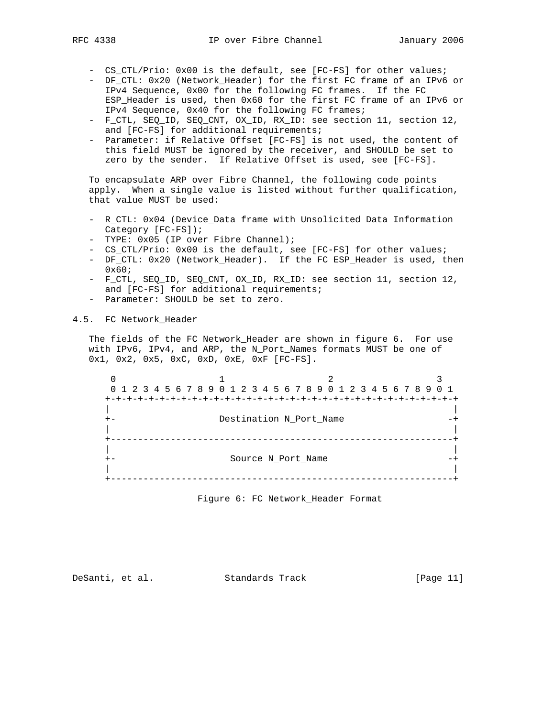- CS\_CTL/Prio: 0x00 is the default, see [FC-FS] for other values;
- DF\_CTL: 0x20 (Network\_Header) for the first FC frame of an IPv6 or IPv4 Sequence, 0x00 for the following FC frames. If the FC ESP\_Header is used, then 0x60 for the first FC frame of an IPv6 or IPv4 Sequence, 0x40 for the following FC frames;
- F\_CTL, SEQ\_ID, SEQ\_CNT, OX\_ID, RX\_ID: see section 11, section 12, and [FC-FS] for additional requirements;
- Parameter: if Relative Offset [FC-FS] is not used, the content of this field MUST be ignored by the receiver, and SHOULD be set to zero by the sender. If Relative Offset is used, see [FC-FS].

 To encapsulate ARP over Fibre Channel, the following code points apply. When a single value is listed without further qualification, that value MUST be used:

- R\_CTL: 0x04 (Device\_Data frame with Unsolicited Data Information Category [FC-FS]);
- TYPE: 0x05 (IP over Fibre Channel);
- CS\_CTL/Prio: 0x00 is the default, see [FC-FS] for other values;
- DF\_CTL: 0x20 (Network\_Header). If the FC ESP\_Header is used, then 0x60;
- F\_CTL, SEQ\_ID, SEQ\_CNT, OX\_ID, RX\_ID: see section 11, section 12, and [FC-FS] for additional requirements;
- Parameter: SHOULD be set to zero.
- 4.5. FC Network\_Header

 The fields of the FC Network\_Header are shown in figure 6. For use with IPv6, IPv4, and ARP, the N\_Port\_Names formats MUST be one of 0x1, 0x2, 0x5, 0xC, 0xD, 0xE, 0xF [FC-FS].

 $0$  1 2 3 0 1 2 3 4 5 6 7 8 9 0 1 2 3 4 5 6 7 8 9 0 1 2 3 4 5 6 7 8 9 0 1 +-+-+-+-+-+-+-+-+-+-+-+-+-+-+-+-+-+-+-+-+-+-+-+-+-+-+-+-+-+-+-+-+ | | +- Destination N\_Port\_Name | | +---------------------------------------------------------------+ | | +- Source N\_Port\_Name -+ | | +---------------------------------------------------------------+

Figure 6: FC Network\_Header Format

DeSanti, et al. Standards Track [Page 11]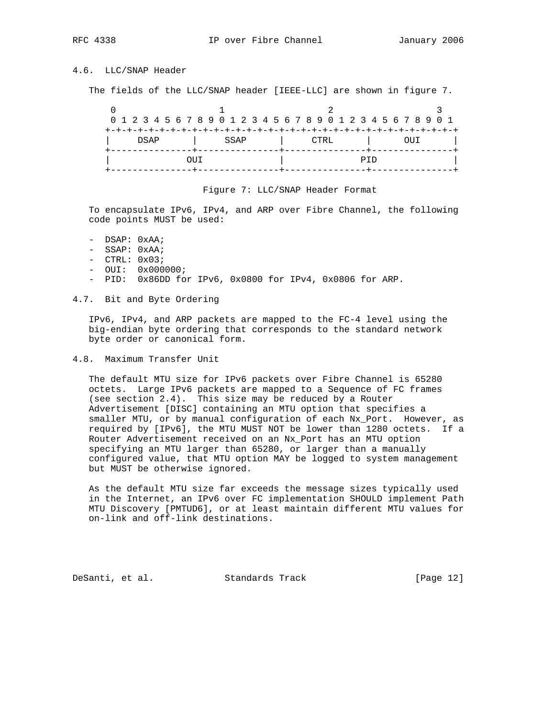# 4.6. LLC/SNAP Header

The fields of the LLC/SNAP header [IEEE-LLC] are shown in figure 7.

| 0 1 2 3 4 5 6 7 8 9 0 1 2 3 4 5 6 7 8 9 0 1 2 3 4 5 6 7 8 9 0 1 |              |  |  |  |  |  |     |  |  |  |  |  |  |  |  |      |  |  |  |     |        |  |  |  |
|-----------------------------------------------------------------|--------------|--|--|--|--|--|-----|--|--|--|--|--|--|--|--|------|--|--|--|-----|--------|--|--|--|
|                                                                 | DSAP<br>SSAP |  |  |  |  |  |     |  |  |  |  |  |  |  |  |      |  |  |  |     |        |  |  |  |
|                                                                 |              |  |  |  |  |  |     |  |  |  |  |  |  |  |  | CTRL |  |  |  |     | (1111) |  |  |  |
|                                                                 |              |  |  |  |  |  |     |  |  |  |  |  |  |  |  |      |  |  |  |     |        |  |  |  |
|                                                                 |              |  |  |  |  |  | OUT |  |  |  |  |  |  |  |  |      |  |  |  | PTD |        |  |  |  |
|                                                                 |              |  |  |  |  |  |     |  |  |  |  |  |  |  |  |      |  |  |  |     |        |  |  |  |

#### Figure 7: LLC/SNAP Header Format

 To encapsulate IPv6, IPv4, and ARP over Fibre Channel, the following code points MUST be used:

- DSAP: 0xAA;
- SSAP: 0xAA;
- CTRL: 0x03;
- OUI: 0x000000;
- PID: 0x86DD for IPv6, 0x0800 for IPv4, 0x0806 for ARP.
- 4.7. Bit and Byte Ordering

 IPv6, IPv4, and ARP packets are mapped to the FC-4 level using the big-endian byte ordering that corresponds to the standard network byte order or canonical form.

4.8. Maximum Transfer Unit

 The default MTU size for IPv6 packets over Fibre Channel is 65280 octets. Large IPv6 packets are mapped to a Sequence of FC frames (see section 2.4). This size may be reduced by a Router Advertisement [DISC] containing an MTU option that specifies a smaller MTU, or by manual configuration of each Nx\_Port. However, as required by [IPv6], the MTU MUST NOT be lower than 1280 octets. If a Router Advertisement received on an Nx\_Port has an MTU option specifying an MTU larger than 65280, or larger than a manually configured value, that MTU option MAY be logged to system management but MUST be otherwise ignored.

 As the default MTU size far exceeds the message sizes typically used in the Internet, an IPv6 over FC implementation SHOULD implement Path MTU Discovery [PMTUD6], or at least maintain different MTU values for on-link and off-link destinations.

DeSanti, et al. Standards Track [Page 12]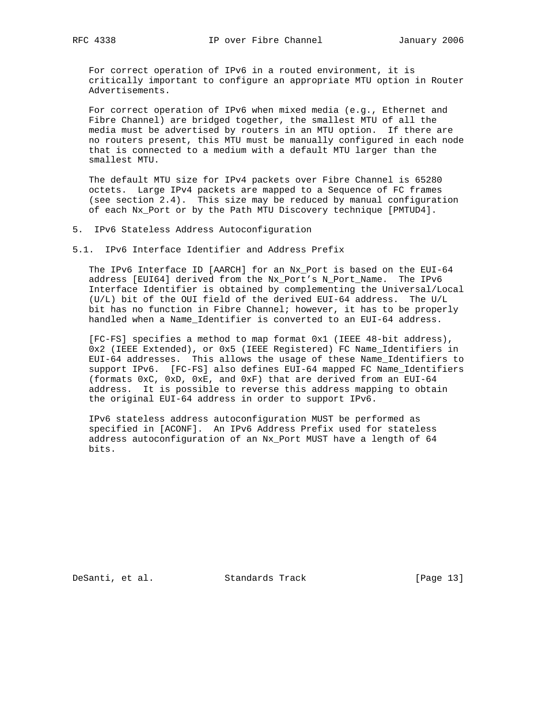For correct operation of IPv6 in a routed environment, it is critically important to configure an appropriate MTU option in Router Advertisements.

 For correct operation of IPv6 when mixed media (e.g., Ethernet and Fibre Channel) are bridged together, the smallest MTU of all the media must be advertised by routers in an MTU option. If there are no routers present, this MTU must be manually configured in each node that is connected to a medium with a default MTU larger than the smallest MTU.

 The default MTU size for IPv4 packets over Fibre Channel is 65280 octets. Large IPv4 packets are mapped to a Sequence of FC frames (see section 2.4). This size may be reduced by manual configuration of each Nx\_Port or by the Path MTU Discovery technique [PMTUD4].

5. IPv6 Stateless Address Autoconfiguration

5.1. IPv6 Interface Identifier and Address Prefix

 The IPv6 Interface ID [AARCH] for an Nx\_Port is based on the EUI-64 address [EUI64] derived from the Nx\_Port's N\_Port\_Name. The IPv6 Interface Identifier is obtained by complementing the Universal/Local (U/L) bit of the OUI field of the derived EUI-64 address. The U/L bit has no function in Fibre Channel; however, it has to be properly handled when a Name\_Identifier is converted to an EUI-64 address.

 [FC-FS] specifies a method to map format 0x1 (IEEE 48-bit address), 0x2 (IEEE Extended), or 0x5 (IEEE Registered) FC Name\_Identifiers in EUI-64 addresses. This allows the usage of these Name\_Identifiers to support IPv6. [FC-FS] also defines EUI-64 mapped FC Name\_Identifiers (formats 0xC, 0xD, 0xE, and 0xF) that are derived from an EUI-64 address. It is possible to reverse this address mapping to obtain the original EUI-64 address in order to support IPv6.

 IPv6 stateless address autoconfiguration MUST be performed as specified in [ACONF]. An IPv6 Address Prefix used for stateless address autoconfiguration of an Nx\_Port MUST have a length of 64 bits.

DeSanti, et al. Standards Track [Page 13]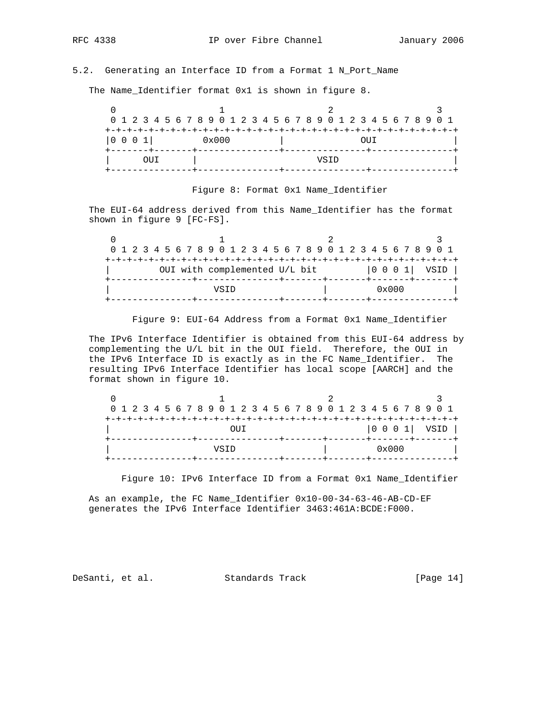# 5.2. Generating an Interface ID from a Format 1 N\_Port\_Name

The Name\_Identifier format 0x1 is shown in figure 8.

|  |      | 0 1 2 3 4 5 6 7 8 9 0 1 2 3 4 5 6 7 8 9 0 1 2 3 4 5 6 7 8 9 0 1<br>$0 \times 000$ |     |  |  |  |  |  |  |  |  |  |  |  |  |  |  |      |  |       |  |  |  |  |
|--|------|-----------------------------------------------------------------------------------|-----|--|--|--|--|--|--|--|--|--|--|--|--|--|--|------|--|-------|--|--|--|--|
|  |      |                                                                                   |     |  |  |  |  |  |  |  |  |  |  |  |  |  |  |      |  |       |  |  |  |  |
|  |      |                                                                                   |     |  |  |  |  |  |  |  |  |  |  |  |  |  |  |      |  |       |  |  |  |  |
|  | 0001 |                                                                                   |     |  |  |  |  |  |  |  |  |  |  |  |  |  |  |      |  | (111) |  |  |  |  |
|  |      |                                                                                   |     |  |  |  |  |  |  |  |  |  |  |  |  |  |  |      |  |       |  |  |  |  |
|  |      |                                                                                   | OUT |  |  |  |  |  |  |  |  |  |  |  |  |  |  | VSTD |  |       |  |  |  |  |
|  |      |                                                                                   |     |  |  |  |  |  |  |  |  |  |  |  |  |  |  |      |  |       |  |  |  |  |

## Figure 8: Format 0x1 Name\_Identifier

 The EUI-64 address derived from this Name\_Identifier has the format shown in figure 9 [FC-FS].

| 0 1 2 3 4 5 6 7 8 9 0 1 2 3 4 5 6 7 8 9 0 1 2 3 4 5 6 7 8 9 0 1<br>$ 0 0 0 1 $ VSID $ $<br>OUI with complemented U/L bit<br>$0 \times 000$<br>VSTD |  |  |  |  |  |  |  |  |  |  |  |  |  |  |  |  |  |  |  |  |  |  |  |  |  |
|----------------------------------------------------------------------------------------------------------------------------------------------------|--|--|--|--|--|--|--|--|--|--|--|--|--|--|--|--|--|--|--|--|--|--|--|--|--|
|                                                                                                                                                    |  |  |  |  |  |  |  |  |  |  |  |  |  |  |  |  |  |  |  |  |  |  |  |  |  |
|                                                                                                                                                    |  |  |  |  |  |  |  |  |  |  |  |  |  |  |  |  |  |  |  |  |  |  |  |  |  |
|                                                                                                                                                    |  |  |  |  |  |  |  |  |  |  |  |  |  |  |  |  |  |  |  |  |  |  |  |  |  |
|                                                                                                                                                    |  |  |  |  |  |  |  |  |  |  |  |  |  |  |  |  |  |  |  |  |  |  |  |  |  |
|                                                                                                                                                    |  |  |  |  |  |  |  |  |  |  |  |  |  |  |  |  |  |  |  |  |  |  |  |  |  |

Figure 9: EUI-64 Address from a Format 0x1 Name\_Identifier

 The IPv6 Interface Identifier is obtained from this EUI-64 address by complementing the U/L bit in the OUI field. Therefore, the OUI in the IPv6 Interface ID is exactly as in the FC Name\_Identifier. The resulting IPv6 Interface Identifier has local scope [AARCH] and the format shown in figure 10.

|  |                     |  |  |  |  |  |  |  |      |  |  |  |  |  |  |  |  |  |  |                |                                                              | 0 1 2 3 4 5 6 7 8 9 0 1 2 3 4 5 6 7 8 9 0 1 2 3 4 5 6 7 8 9 0 1 |  |
|--|---------------------|--|--|--|--|--|--|--|------|--|--|--|--|--|--|--|--|--|--|----------------|--------------------------------------------------------------|-----------------------------------------------------------------|--|
|  | энн                 |  |  |  |  |  |  |  |      |  |  |  |  |  |  |  |  |  |  |                |                                                              |                                                                 |  |
|  | --+-+-+-+-+-+-+-+-+ |  |  |  |  |  |  |  |      |  |  |  |  |  |  |  |  |  |  |                | $\begin{array}{ c c c c c } \hline \end{array}$ 0 0 1   VSID |                                                                 |  |
|  |                     |  |  |  |  |  |  |  |      |  |  |  |  |  |  |  |  |  |  |                |                                                              |                                                                 |  |
|  |                     |  |  |  |  |  |  |  | VSTD |  |  |  |  |  |  |  |  |  |  | $0 \times 000$ |                                                              |                                                                 |  |
|  |                     |  |  |  |  |  |  |  |      |  |  |  |  |  |  |  |  |  |  |                |                                                              |                                                                 |  |

Figure 10: IPv6 Interface ID from a Format 0x1 Name\_Identifier

 As an example, the FC Name\_Identifier 0x10-00-34-63-46-AB-CD-EF generates the IPv6 Interface Identifier 3463:461A:BCDE:F000.

DeSanti, et al. Standards Track [Page 14]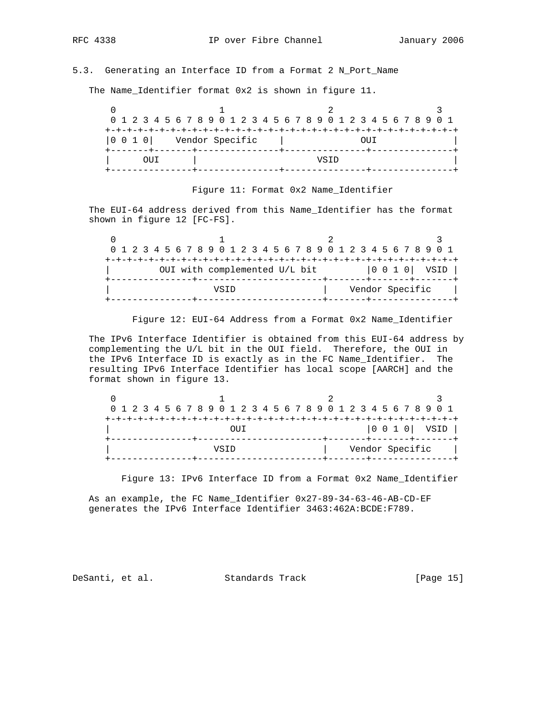# 5.3. Generating an Interface ID from a Format 2 N\_Port\_Name

The Name\_Identifier format 0x2 is shown in figure 11.

|  |       | (111                                                                                         |  |  |  |  |  |  |  |  |  |  |  |      |  |  |  |  |  |  |  |
|--|-------|----------------------------------------------------------------------------------------------|--|--|--|--|--|--|--|--|--|--|--|------|--|--|--|--|--|--|--|
|  |       | 0 1 2 3 4 5 6 7 8 9 0 1 2 3 4 5 6 7 8 9 0 1 2 3 4 5 6 7 8 9 0 1<br> 0 0 1 0  Vendor Specific |  |  |  |  |  |  |  |  |  |  |  |      |  |  |  |  |  |  |  |
|  |       |                                                                                              |  |  |  |  |  |  |  |  |  |  |  |      |  |  |  |  |  |  |  |
|  |       |                                                                                              |  |  |  |  |  |  |  |  |  |  |  |      |  |  |  |  |  |  |  |
|  | (111) |                                                                                              |  |  |  |  |  |  |  |  |  |  |  | VSTD |  |  |  |  |  |  |  |
|  |       |                                                                                              |  |  |  |  |  |  |  |  |  |  |  |      |  |  |  |  |  |  |  |

# Figure 11: Format 0x2 Name\_Identifier

 The EUI-64 address derived from this Name\_Identifier has the format shown in figure 12 [FC-FS].

| 0 1 2 3 4 5 6 7 8 9 0 1 2 3 4 5 6 7 8 9 0 1 2 3 4 5 6 7 8 9 0 1<br>OUI with complemented U/L bit |  |  |  |  |  |  |  |  |  |  |  |  |  |  |  |  |  |  |  |  |  |  |  |  |
|--------------------------------------------------------------------------------------------------|--|--|--|--|--|--|--|--|--|--|--|--|--|--|--|--|--|--|--|--|--|--|--|--|
|                                                                                                  |  |  |  |  |  |  |  |  |  |  |  |  |  |  |  |  |  |  |  |  |  |  |  |  |
|                                                                                                  |  |  |  |  |  |  |  |  |  |  |  |  |  |  |  |  |  |  |  |  |  |  |  |  |
|                                                                                                  |  |  |  |  |  |  |  |  |  |  |  |  |  |  |  |  |  |  |  |  |  |  |  |  |
|                                                                                                  |  |  |  |  |  |  |  |  |  |  |  |  |  |  |  |  |  |  |  |  |  |  |  |  |
| Vendor Specific<br>VSTD                                                                          |  |  |  |  |  |  |  |  |  |  |  |  |  |  |  |  |  |  |  |  |  |  |  |  |

Figure 12: EUI-64 Address from a Format 0x2 Name\_Identifier

 The IPv6 Interface Identifier is obtained from this EUI-64 address by complementing the U/L bit in the OUI field. Therefore, the OUI in the IPv6 Interface ID is exactly as in the FC Name\_Identifier. The resulting IPv6 Interface Identifier has local scope [AARCH] and the format shown in figure 13.

|  |  |  |  |  |      |     |  |  |  |  |  |  |  |                 | 0 1 2 3 4 5 6 7 8 9 0 1 2 3 4 5 6 7 8 9 0 1 2 3 4 5 6 7 8 9 0 1 |  |
|--|--|--|--|--|------|-----|--|--|--|--|--|--|--|-----------------|-----------------------------------------------------------------|--|
|  |  |  |  |  |      |     |  |  |  |  |  |  |  |                 |                                                                 |  |
|  |  |  |  |  |      | ЭUТ |  |  |  |  |  |  |  |                 | $ 0\;0\;1\;0 $ VSID                                             |  |
|  |  |  |  |  |      |     |  |  |  |  |  |  |  |                 |                                                                 |  |
|  |  |  |  |  | VSTD |     |  |  |  |  |  |  |  | Vendor Specific |                                                                 |  |
|  |  |  |  |  |      |     |  |  |  |  |  |  |  |                 |                                                                 |  |

Figure 13: IPv6 Interface ID from a Format 0x2 Name\_Identifier

 As an example, the FC Name\_Identifier 0x27-89-34-63-46-AB-CD-EF generates the IPv6 Interface Identifier 3463:462A:BCDE:F789.

DeSanti, et al. Standards Track [Page 15]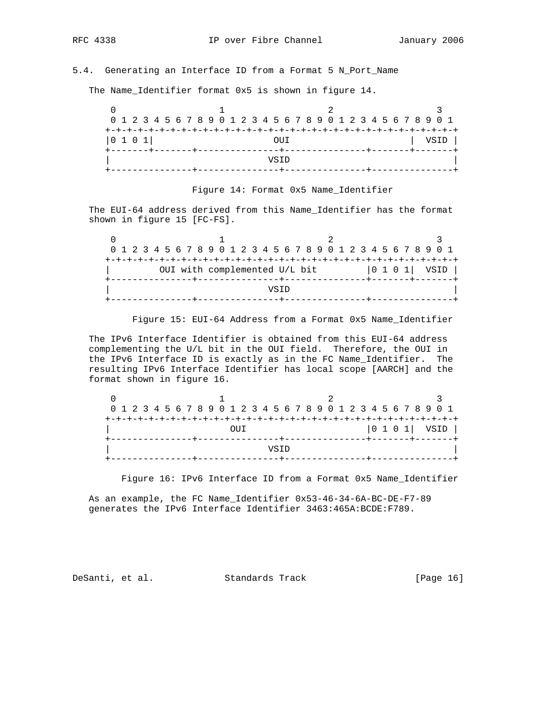# 5.4. Generating an Interface ID from a Format 5 N\_Port\_Name

The Name\_Identifier format 0x5 is shown in figure 14.

|      | 0 1 2 3 4 5 6 7 8 9 0 1 2 3 4 5 6 7 8 9 0 1 2 3 4 5 6 7 8 9 0 1 |      |
|------|-----------------------------------------------------------------|------|
|      |                                                                 |      |
| 0101 | OTT                                                             | VSID |
|      |                                                                 |      |
|      | VSTD                                                            |      |
|      |                                                                 |      |

## Figure 14: Format 0x5 Name\_Identifier

 The EUI-64 address derived from this Name\_Identifier has the format shown in figure 15 [FC-FS].

|  |  |  |                               |  |  |  |  |      |  |  |  |  |  |  | 0 1 2 3 4 5 6 7 8 9 0 1 2 3 4 5 6 7 8 9 0 1 2 3 4 5 6 7 8 9 0 1 |                  |
|--|--|--|-------------------------------|--|--|--|--|------|--|--|--|--|--|--|-----------------------------------------------------------------|------------------|
|  |  |  |                               |  |  |  |  |      |  |  |  |  |  |  |                                                                 |                  |
|  |  |  | OUI with complemented U/L bit |  |  |  |  |      |  |  |  |  |  |  |                                                                 | $ 0 1 0 1 $ VSID |
|  |  |  |                               |  |  |  |  |      |  |  |  |  |  |  |                                                                 |                  |
|  |  |  |                               |  |  |  |  | VSTD |  |  |  |  |  |  |                                                                 |                  |
|  |  |  |                               |  |  |  |  |      |  |  |  |  |  |  |                                                                 |                  |

Figure 15: EUI-64 Address from a Format 0x5 Name\_Identifier

 The IPv6 Interface Identifier is obtained from this EUI-64 address complementing the U/L bit in the OUI field. Therefore, the OUI in the IPv6 Interface ID is exactly as in the FC Name\_Identifier. The resulting IPv6 Interface Identifier has local scope [AARCH] and the format shown in figure 16.

|  |  |  | 0 1 2 3 4 5 6 7 8 9 0 1 2 3 4 5 6 7 8 9 0 1 2 3 4 5 6 7 8 9 0 1 |  |  |  |     |  |      |  |  |  |  |  |  |  |  |
|--|--|--|-----------------------------------------------------------------|--|--|--|-----|--|------|--|--|--|--|--|--|--|--|
|  |  |  |                                                                 |  |  |  |     |  |      |  |  |  |  |  |  |  |  |
|  |  |  |                                                                 |  |  |  | OUT |  |      |  |  |  |  |  |  |  |  |
|  |  |  |                                                                 |  |  |  |     |  |      |  |  |  |  |  |  |  |  |
|  |  |  |                                                                 |  |  |  |     |  | VSTD |  |  |  |  |  |  |  |  |
|  |  |  |                                                                 |  |  |  |     |  |      |  |  |  |  |  |  |  |  |

Figure 16: IPv6 Interface ID from a Format 0x5 Name\_Identifier

 As an example, the FC Name\_Identifier 0x53-46-34-6A-BC-DE-F7-89 generates the IPv6 Interface Identifier 3463:465A:BCDE:F789.

DeSanti, et al. Standards Track [Page 16]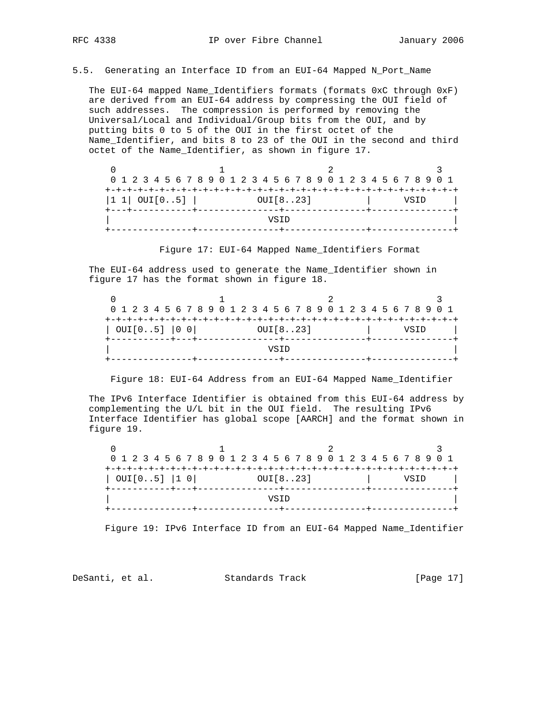5.5. Generating an Interface ID from an EUI-64 Mapped N\_Port\_Name

 The EUI-64 mapped Name\_Identifiers formats (formats 0xC through 0xF) are derived from an EUI-64 address by compressing the OUI field of such addresses. The compression is performed by removing the Universal/Local and Individual/Group bits from the OUI, and by putting bits 0 to 5 of the OUI in the first octet of the Name\_Identifier, and bits 8 to 23 of the OUI in the second and third octet of the Name\_Identifier, as shown in figure 17.

| 0 1 2 3 4 5 6 7 8 9 0 1 2 3 4 5 6 7 8 9 0 1 2 3 4 5 6 7 8 9 0 1 |          |      |  |
|-----------------------------------------------------------------|----------|------|--|
|                                                                 |          |      |  |
| $ 1 1 $ OUI $[05]$ $ $                                          | OUI[823] | VSTD |  |
|                                                                 |          |      |  |
|                                                                 | VSTD     |      |  |
|                                                                 |          |      |  |

Figure 17: EUI-64 Mapped Name\_Identifiers Format

 The EUI-64 address used to generate the Name\_Identifier shown in figure 17 has the format shown in figure 18.

|               |          | 0 1 2 3 4 5 6 7 8 9 0 1 2 3 4 5 6 7 8 9 0 1 2 3 4 5 6 7 8 9 0 1 |
|---------------|----------|-----------------------------------------------------------------|
| OUT[05]   0 0 | OUT[823] |                                                                 |
|               | VSTD     |                                                                 |
|               |          |                                                                 |

Figure 18: EUI-64 Address from an EUI-64 Mapped Name\_Identifier

 The IPv6 Interface Identifier is obtained from this EUI-64 address by complementing the U/L bit in the OUI field. The resulting IPv6 Interface Identifier has global scope [AARCH] and the format shown in figure 19.

|  |                  |  |  | 0 1 2 3 4 5 6 7 8 9 0 1 2 3 4 5 6 7 8 9 0 1 2 3 4 5 6 7 8 9 0 1 |  |  |          |      |  |  |  |  |  |  |      |  |  |
|--|------------------|--|--|-----------------------------------------------------------------|--|--|----------|------|--|--|--|--|--|--|------|--|--|
|  |                  |  |  |                                                                 |  |  |          |      |  |  |  |  |  |  |      |  |  |
|  | OUT[05]  1 0     |  |  |                                                                 |  |  | OUT[823] |      |  |  |  |  |  |  | VSTD |  |  |
|  | -----------+---+ |  |  |                                                                 |  |  |          |      |  |  |  |  |  |  |      |  |  |
|  |                  |  |  |                                                                 |  |  |          | VSTD |  |  |  |  |  |  |      |  |  |
|  |                  |  |  |                                                                 |  |  |          |      |  |  |  |  |  |  |      |  |  |

Figure 19: IPv6 Interface ID from an EUI-64 Mapped Name\_Identifier

DeSanti, et al. Standards Track [Page 17]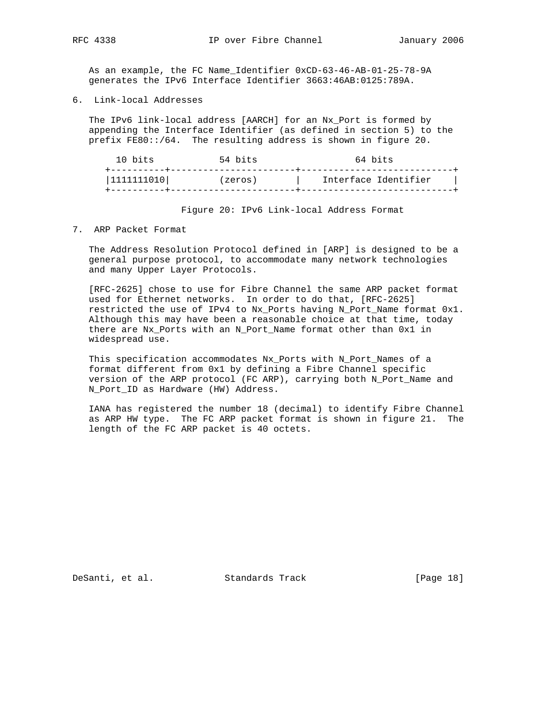As an example, the FC Name\_Identifier 0xCD-63-46-AB-01-25-78-9A generates the IPv6 Interface Identifier 3663:46AB:0125:789A.

6. Link-local Addresses

 The IPv6 link-local address [AARCH] for an Nx\_Port is formed by appending the Interface Identifier (as defined in section 5) to the prefix FE80::/64. The resulting address is shown in figure 20.

| 10 bits    | 54 bits | 64 bits              |
|------------|---------|----------------------|
| 1111111010 | (zeros) | Interface Identifier |
|            |         |                      |

Figure 20: IPv6 Link-local Address Format

7. ARP Packet Format

 The Address Resolution Protocol defined in [ARP] is designed to be a general purpose protocol, to accommodate many network technologies and many Upper Layer Protocols.

 [RFC-2625] chose to use for Fibre Channel the same ARP packet format used for Ethernet networks. In order to do that, [RFC-2625] restricted the use of IPv4 to Nx\_Ports having N\_Port\_Name format 0x1. Although this may have been a reasonable choice at that time, today there are Nx\_Ports with an N\_Port\_Name format other than 0x1 in widespread use.

This specification accommodates Nx\_Ports with N\_Port\_Names of a format different from 0x1 by defining a Fibre Channel specific version of the ARP protocol (FC ARP), carrying both N\_Port\_Name and N\_Port\_ID as Hardware (HW) Address.

 IANA has registered the number 18 (decimal) to identify Fibre Channel as ARP HW type. The FC ARP packet format is shown in figure 21. The length of the FC ARP packet is 40 octets.

DeSanti, et al. Standards Track [Page 18]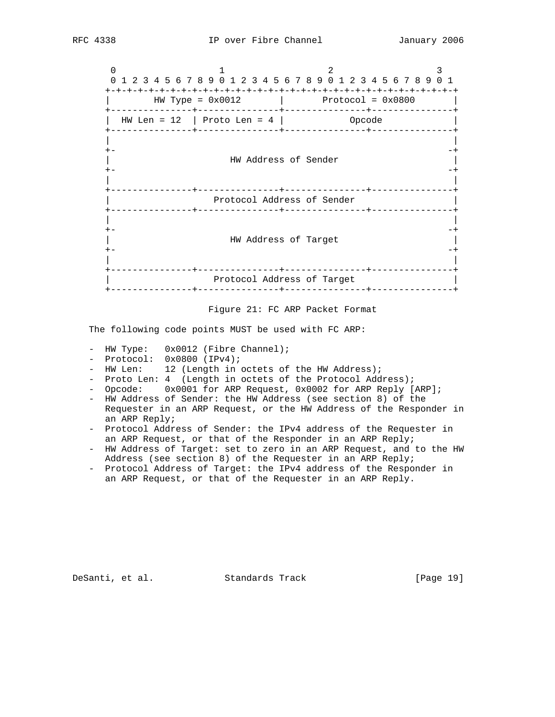$0$  1 2 3 0 1 2 3 4 5 6 7 8 9 0 1 2 3 4 5 6 7 8 9 0 1 2 3 4 5 6 7 8 9 0 1 +-+-+-+-+-+-+-+-+-+-+-+-+-+-+-+-+-+-+-+-+-+-+-+-+-+-+-+-+-+-+-+-+ | HW Type = 0x0012 | Protocol = 0x0800 | +---------------+---------------+---------------+---------------+ | HW Len = 12 | Proto Len = 4 | Opcode | +---------------+---------------+---------------+---------------+ | | +- -+ | HW Address of Sender | +- -+ | | +---------------+---------------+---------------+---------------+ Protocol Address of Sender +---------------+---------------+---------------+---------------+ | | +- -+ | HW Address of Target | +- -+ | | +---------------+---------------+---------------+---------------+ Protocol Address of Target +---------------+---------------+---------------+---------------+



The following code points MUST be used with FC ARP:

- HW Type:  $0x0012$  (Fibre Channel);
- Protocol: 0x0800 (IPv4);
- HW Len: 12 (Length in octets of the HW Address);
- Proto Len: 4 (Length in octets of the Protocol Address);
- Opcode: 0x0001 for ARP Request, 0x0002 for ARP Reply [ARP];
- HW Address of Sender: the HW Address (see section 8) of the Requester in an ARP Request, or the HW Address of the Responder in an ARP Reply;
- Protocol Address of Sender: the IPv4 address of the Requester in an ARP Request, or that of the Responder in an ARP Reply;
- HW Address of Target: set to zero in an ARP Request, and to the HW Address (see section 8) of the Requester in an ARP Reply;
- Protocol Address of Target: the IPv4 address of the Responder in an ARP Request, or that of the Requester in an ARP Reply.

DeSanti, et al. Standards Track [Page 19]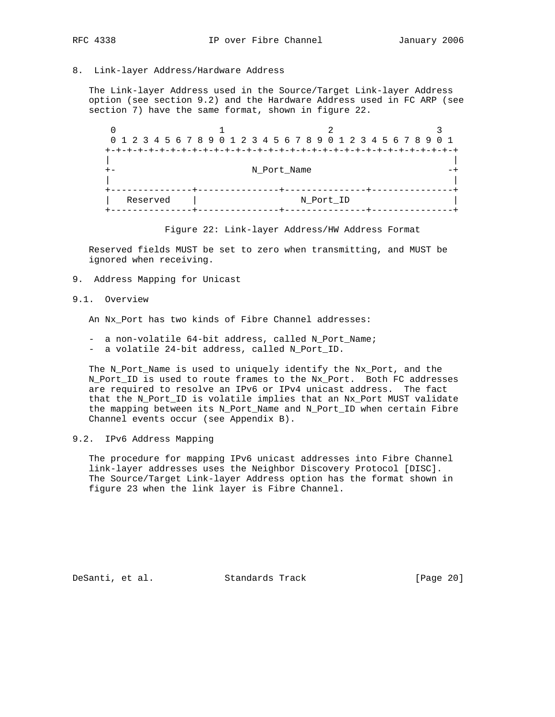## 8. Link-layer Address/Hardware Address

 The Link-layer Address used in the Source/Target Link-layer Address option (see section 9.2) and the Hardware Address used in FC ARP (see section 7) have the same format, shown in figure 22.

 $0$  1 2 3 0 1 2 3 4 5 6 7 8 9 0 1 2 3 4 5 6 7 8 9 0 1 2 3 4 5 6 7 8 9 0 1 +-+-+-+-+-+-+-+-+-+-+-+-+-+-+-+-+-+-+-+-+-+-+-+-+-+-+-+-+-+-+-+-+ | | +- N\_Port\_Name -+ | | +---------------+---------------+---------------+---------------+ | Reserved | +---------------+---------------+---------------+---------------+

Figure 22: Link-layer Address/HW Address Format

 Reserved fields MUST be set to zero when transmitting, and MUST be ignored when receiving.

9. Address Mapping for Unicast

## 9.1. Overview

An Nx\_Port has two kinds of Fibre Channel addresses:

- a non-volatile 64-bit address, called N\_Port\_Name;
- a volatile 24-bit address, called N\_Port\_ID.

 The N\_Port\_Name is used to uniquely identify the Nx\_Port, and the N\_Port\_ID is used to route frames to the Nx\_Port. Both FC addresses are required to resolve an IPv6 or IPv4 unicast address. The fact that the N\_Port\_ID is volatile implies that an Nx\_Port MUST validate the mapping between its N\_Port\_Name and N\_Port\_ID when certain Fibre Channel events occur (see Appendix B).

## 9.2. IPv6 Address Mapping

 The procedure for mapping IPv6 unicast addresses into Fibre Channel link-layer addresses uses the Neighbor Discovery Protocol [DISC]. The Source/Target Link-layer Address option has the format shown in figure 23 when the link layer is Fibre Channel.

DeSanti, et al. Standards Track [Page 20]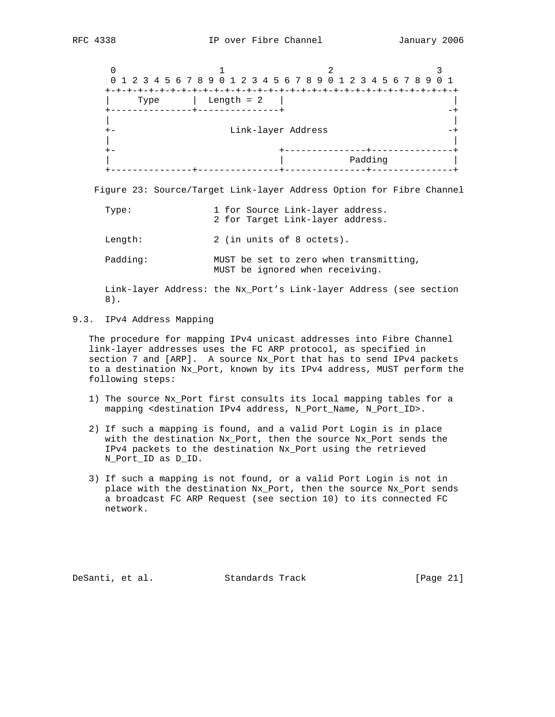$0$  1 2 3 0 1 2 3 4 5 6 7 8 9 0 1 2 3 4 5 6 7 8 9 0 1 2 3 4 5 6 7 8 9 0 1 +-+-+-+-+-+-+-+-+-+-+-+-+-+-+-+-+-+-+-+-+-+-+-+-+-+-+-+-+-+-+-+-+ | Type | Length = 2 | | +---------------+---------------+ -+ | | +- Link-layer Address -+ | | +- +---------------+---------------+ | | Padding | +---------------+---------------+---------------+---------------+

Figure 23: Source/Target Link-layer Address Option for Fibre Channel

| Type:    | 1 for Source Link-layer address.<br>2 for Target Link-layer address.      |
|----------|---------------------------------------------------------------------------|
| Lenath:  | 2 (in units of 8 octets).                                                 |
| Padding: | MUST be set to zero when transmitting,<br>MUST be ignored when receiving. |

 Link-layer Address: the Nx\_Port's Link-layer Address (see section 8).

# 9.3. IPv4 Address Mapping

 The procedure for mapping IPv4 unicast addresses into Fibre Channel link-layer addresses uses the FC ARP protocol, as specified in section 7 and [ARP]. A source Nx\_Port that has to send IPv4 packets to a destination Nx\_Port, known by its IPv4 address, MUST perform the following steps:

- 1) The source Nx\_Port first consults its local mapping tables for a mapping <destination IPv4 address, N\_Port\_Name, N\_Port\_ID>.
- 2) If such a mapping is found, and a valid Port Login is in place with the destination Nx\_Port, then the source Nx\_Port sends the IPv4 packets to the destination Nx\_Port using the retrieved N\_Port\_ID as D\_ID.
- 3) If such a mapping is not found, or a valid Port Login is not in place with the destination Nx\_Port, then the source Nx\_Port sends a broadcast FC ARP Request (see section 10) to its connected FC network.

DeSanti, et al. Standards Track [Page 21]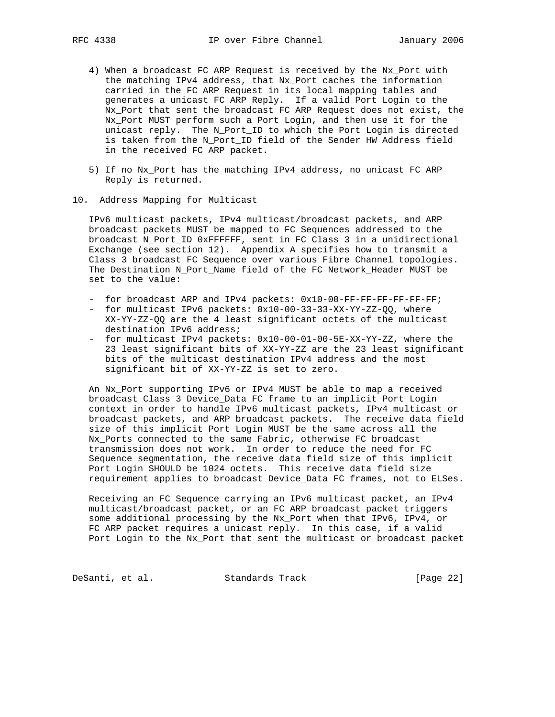- 4) When a broadcast FC ARP Request is received by the Nx\_Port with the matching IPv4 address, that Nx\_Port caches the information carried in the FC ARP Request in its local mapping tables and generates a unicast FC ARP Reply. If a valid Port Login to the Nx\_Port that sent the broadcast FC ARP Request does not exist, the Nx\_Port MUST perform such a Port Login, and then use it for the unicast reply. The N\_Port\_ID to which the Port Login is directed is taken from the N\_Port\_ID field of the Sender HW Address field in the received FC ARP packet.
- 5) If no Nx\_Port has the matching IPv4 address, no unicast FC ARP Reply is returned.
- 10. Address Mapping for Multicast

 IPv6 multicast packets, IPv4 multicast/broadcast packets, and ARP broadcast packets MUST be mapped to FC Sequences addressed to the broadcast N\_Port\_ID 0xFFFFFF, sent in FC Class 3 in a unidirectional Exchange (see section 12). Appendix A specifies how to transmit a Class 3 broadcast FC Sequence over various Fibre Channel topologies. The Destination N\_Port\_Name field of the FC Network\_Header MUST be set to the value:

- for broadcast ARP and IPv4 packets: 0x10-00-FF-FF-FF-FF-FF-FF;
- for multicast IPv6 packets:  $0x10-00-33-33-XX-YY-ZZ-QQ$ , where XX-YY-ZZ-QQ are the 4 least significant octets of the multicast destination IPv6 address;
- for multicast IPv4 packets: 0x10-00-01-00-5E-XX-YY-ZZ, where the 23 least significant bits of XX-YY-ZZ are the 23 least significant bits of the multicast destination IPv4 address and the most significant bit of XX-YY-ZZ is set to zero.

 An Nx\_Port supporting IPv6 or IPv4 MUST be able to map a received broadcast Class 3 Device\_Data FC frame to an implicit Port Login context in order to handle IPv6 multicast packets, IPv4 multicast or broadcast packets, and ARP broadcast packets. The receive data field size of this implicit Port Login MUST be the same across all the Nx\_Ports connected to the same Fabric, otherwise FC broadcast transmission does not work. In order to reduce the need for FC Sequence segmentation, the receive data field size of this implicit Port Login SHOULD be 1024 octets. This receive data field size requirement applies to broadcast Device\_Data FC frames, not to ELSes.

 Receiving an FC Sequence carrying an IPv6 multicast packet, an IPv4 multicast/broadcast packet, or an FC ARP broadcast packet triggers some additional processing by the Nx\_Port when that IPv6, IPv4, or FC ARP packet requires a unicast reply. In this case, if a valid Port Login to the Nx\_Port that sent the multicast or broadcast packet

DeSanti, et al. Standards Track [Page 22]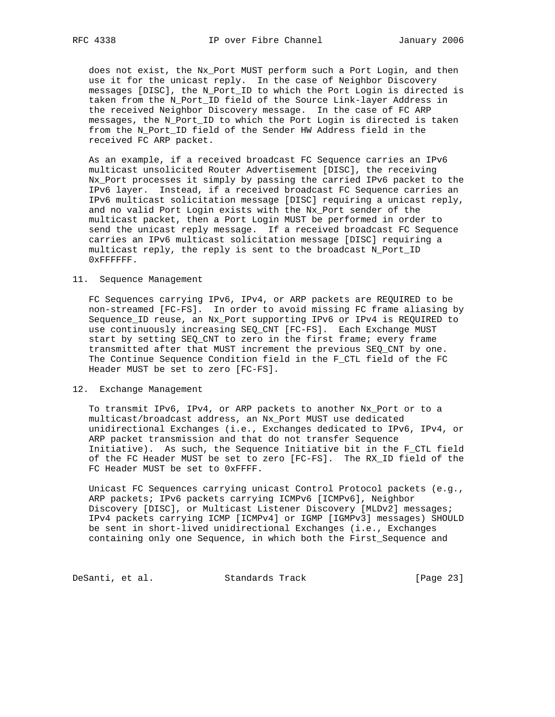does not exist, the Nx\_Port MUST perform such a Port Login, and then use it for the unicast reply. In the case of Neighbor Discovery messages [DISC], the N\_Port\_ID to which the Port Login is directed is taken from the N\_Port\_ID field of the Source Link-layer Address in the received Neighbor Discovery message. In the case of FC ARP messages, the N\_Port\_ID to which the Port Login is directed is taken from the N\_Port\_ID field of the Sender HW Address field in the received FC ARP packet.

 As an example, if a received broadcast FC Sequence carries an IPv6 multicast unsolicited Router Advertisement [DISC], the receiving Nx\_Port processes it simply by passing the carried IPv6 packet to the IPv6 layer. Instead, if a received broadcast FC Sequence carries an IPv6 multicast solicitation message [DISC] requiring a unicast reply, and no valid Port Login exists with the Nx\_Port sender of the multicast packet, then a Port Login MUST be performed in order to send the unicast reply message. If a received broadcast FC Sequence carries an IPv6 multicast solicitation message [DISC] requiring a multicast reply, the reply is sent to the broadcast N\_Port\_ID 0xFFFFFF.

## 11. Sequence Management

 FC Sequences carrying IPv6, IPv4, or ARP packets are REQUIRED to be non-streamed [FC-FS]. In order to avoid missing FC frame aliasing by Sequence\_ID reuse, an Nx\_Port supporting IPv6 or IPv4 is REQUIRED to use continuously increasing SEQ\_CNT [FC-FS]. Each Exchange MUST start by setting SEQ\_CNT to zero in the first frame; every frame transmitted after that MUST increment the previous SEQ\_CNT by one. The Continue Sequence Condition field in the F\_CTL field of the FC Header MUST be set to zero [FC-FS].

#### 12. Exchange Management

 To transmit IPv6, IPv4, or ARP packets to another Nx\_Port or to a multicast/broadcast address, an Nx\_Port MUST use dedicated unidirectional Exchanges (i.e., Exchanges dedicated to IPv6, IPv4, or ARP packet transmission and that do not transfer Sequence Initiative). As such, the Sequence Initiative bit in the F\_CTL field of the FC Header MUST be set to zero [FC-FS]. The RX\_ID field of the FC Header MUST be set to 0xFFFF.

 Unicast FC Sequences carrying unicast Control Protocol packets (e.g., ARP packets; IPv6 packets carrying ICMPv6 [ICMPv6], Neighbor Discovery [DISC], or Multicast Listener Discovery [MLDv2] messages; IPv4 packets carrying ICMP [ICMPv4] or IGMP [IGMPv3] messages) SHOULD be sent in short-lived unidirectional Exchanges (i.e., Exchanges containing only one Sequence, in which both the First\_Sequence and

DeSanti, et al. Standards Track [Page 23]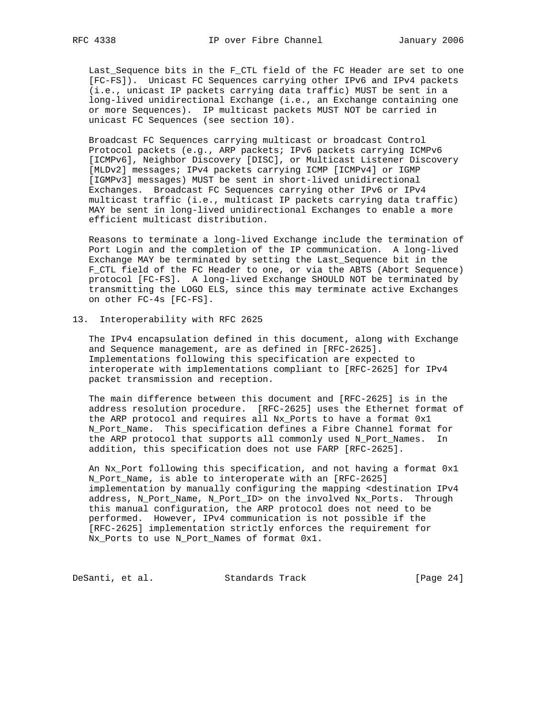Last\_Sequence bits in the F\_CTL field of the FC Header are set to one [FC-FS]). Unicast FC Sequences carrying other IPv6 and IPv4 packets (i.e., unicast IP packets carrying data traffic) MUST be sent in a long-lived unidirectional Exchange (i.e., an Exchange containing one or more Sequences). IP multicast packets MUST NOT be carried in unicast FC Sequences (see section 10).

 Broadcast FC Sequences carrying multicast or broadcast Control Protocol packets (e.g., ARP packets; IPv6 packets carrying ICMPv6 [ICMPv6], Neighbor Discovery [DISC], or Multicast Listener Discovery [MLDv2] messages; IPv4 packets carrying ICMP [ICMPv4] or IGMP [IGMPv3] messages) MUST be sent in short-lived unidirectional Exchanges. Broadcast FC Sequences carrying other IPv6 or IPv4 multicast traffic (i.e., multicast IP packets carrying data traffic) MAY be sent in long-lived unidirectional Exchanges to enable a more efficient multicast distribution.

 Reasons to terminate a long-lived Exchange include the termination of Port Login and the completion of the IP communication. A long-lived Exchange MAY be terminated by setting the Last\_Sequence bit in the F\_CTL field of the FC Header to one, or via the ABTS (Abort Sequence) protocol [FC-FS]. A long-lived Exchange SHOULD NOT be terminated by transmitting the LOGO ELS, since this may terminate active Exchanges on other FC-4s [FC-FS].

## 13. Interoperability with RFC 2625

 The IPv4 encapsulation defined in this document, along with Exchange and Sequence management, are as defined in [RFC-2625]. Implementations following this specification are expected to interoperate with implementations compliant to [RFC-2625] for IPv4 packet transmission and reception.

 The main difference between this document and [RFC-2625] is in the address resolution procedure. [RFC-2625] uses the Ethernet format of the ARP protocol and requires all Nx\_Ports to have a format 0x1 N\_Port\_Name. This specification defines a Fibre Channel format for the ARP protocol that supports all commonly used N\_Port\_Names. In addition, this specification does not use FARP [RFC-2625].

 An Nx\_Port following this specification, and not having a format 0x1 N\_Port\_Name, is able to interoperate with an [RFC-2625] implementation by manually configuring the mapping <destination IPv4 address, N\_Port\_Name, N\_Port\_ID> on the involved Nx\_Ports. Through this manual configuration, the ARP protocol does not need to be performed. However, IPv4 communication is not possible if the [RFC-2625] implementation strictly enforces the requirement for Nx\_Ports to use N\_Port\_Names of format 0x1.

DeSanti, et al. Standards Track [Page 24]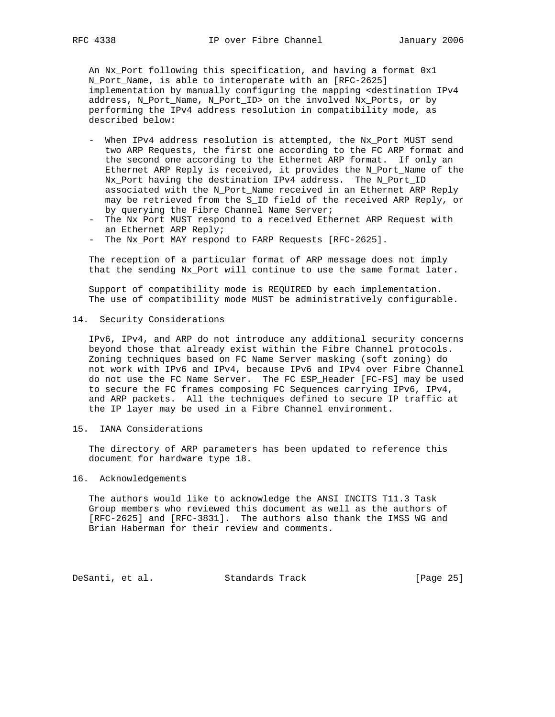An Nx\_Port following this specification, and having a format 0x1 N\_Port\_Name, is able to interoperate with an [RFC-2625] implementation by manually configuring the mapping <destination IPv4 address, N\_Port\_Name, N\_Port\_ID> on the involved Nx\_Ports, or by performing the IPv4 address resolution in compatibility mode, as described below:

- When IPv4 address resolution is attempted, the Nx\_Port MUST send two ARP Requests, the first one according to the FC ARP format and the second one according to the Ethernet ARP format. If only an Ethernet ARP Reply is received, it provides the N\_Port\_Name of the Nx\_Port having the destination IPv4 address. The N\_Port\_ID associated with the N\_Port\_Name received in an Ethernet ARP Reply may be retrieved from the S\_ID field of the received ARP Reply, or by querying the Fibre Channel Name Server;
- The Nx\_Port MUST respond to a received Ethernet ARP Request with an Ethernet ARP Reply;
- The Nx\_Port MAY respond to FARP Requests [RFC-2625].

 The reception of a particular format of ARP message does not imply that the sending Nx\_Port will continue to use the same format later.

 Support of compatibility mode is REQUIRED by each implementation. The use of compatibility mode MUST be administratively configurable.

14. Security Considerations

 IPv6, IPv4, and ARP do not introduce any additional security concerns beyond those that already exist within the Fibre Channel protocols. Zoning techniques based on FC Name Server masking (soft zoning) do not work with IPv6 and IPv4, because IPv6 and IPv4 over Fibre Channel do not use the FC Name Server. The FC ESP\_Header [FC-FS] may be used to secure the FC frames composing FC Sequences carrying IPv6, IPv4, and ARP packets. All the techniques defined to secure IP traffic at the IP layer may be used in a Fibre Channel environment.

15. IANA Considerations

 The directory of ARP parameters has been updated to reference this document for hardware type 18.

## 16. Acknowledgements

 The authors would like to acknowledge the ANSI INCITS T11.3 Task Group members who reviewed this document as well as the authors of [RFC-2625] and [RFC-3831]. The authors also thank the IMSS WG and Brian Haberman for their review and comments.

DeSanti, et al. Standards Track [Page 25]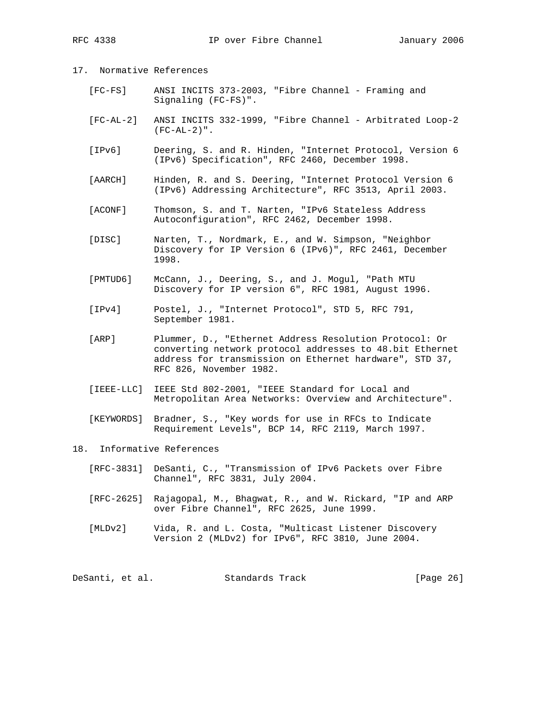# 17. Normative References

- [FC-FS] ANSI INCITS 373-2003, "Fibre Channel Framing and Signaling (FC-FS)".
- [FC-AL-2] ANSI INCITS 332-1999, "Fibre Channel Arbitrated Loop-2 (FC-AL-2)".
- [IPv6] Deering, S. and R. Hinden, "Internet Protocol, Version 6 (IPv6) Specification", RFC 2460, December 1998.
- [AARCH] Hinden, R. and S. Deering, "Internet Protocol Version 6 (IPv6) Addressing Architecture", RFC 3513, April 2003.
- [ACONF] Thomson, S. and T. Narten, "IPv6 Stateless Address Autoconfiguration", RFC 2462, December 1998.
- [DISC] Narten, T., Nordmark, E., and W. Simpson, "Neighbor Discovery for IP Version 6 (IPv6)", RFC 2461, December 1998.
- [PMTUD6] McCann, J., Deering, S., and J. Mogul, "Path MTU Discovery for IP version 6", RFC 1981, August 1996.
- [IPv4] Postel, J., "Internet Protocol", STD 5, RFC 791, September 1981.
- [ARP] Plummer, D., "Ethernet Address Resolution Protocol: Or converting network protocol addresses to 48.bit Ethernet address for transmission on Ethernet hardware", STD 37, RFC 826, November 1982.
- [IEEE-LLC] IEEE Std 802-2001, "IEEE Standard for Local and Metropolitan Area Networks: Overview and Architecture".
- [KEYWORDS] Bradner, S., "Key words for use in RFCs to Indicate Requirement Levels", BCP 14, RFC 2119, March 1997.

## 18. Informative References

- [RFC-3831] DeSanti, C., "Transmission of IPv6 Packets over Fibre Channel", RFC 3831, July 2004.
- [RFC-2625] Rajagopal, M., Bhagwat, R., and W. Rickard, "IP and ARP over Fibre Channel", RFC 2625, June 1999.
- [MLDv2] Vida, R. and L. Costa, "Multicast Listener Discovery Version 2 (MLDv2) for IPv6", RFC 3810, June 2004.

DeSanti, et al. Standards Track [Page 26]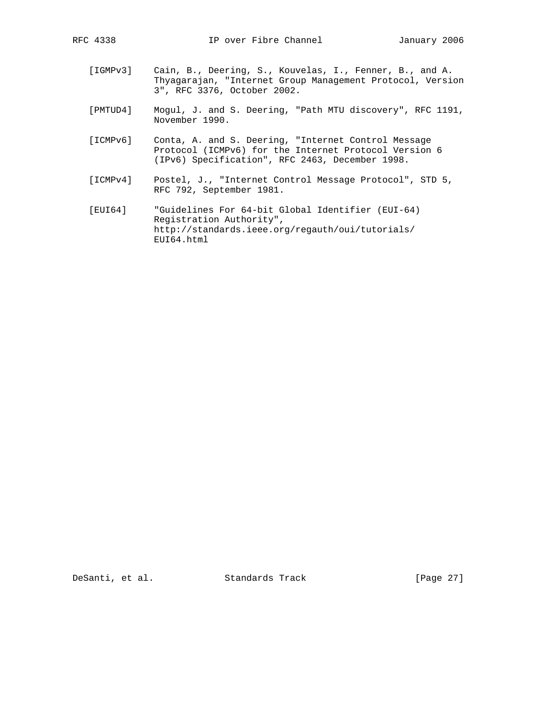- [IGMPv3] Cain, B., Deering, S., Kouvelas, I., Fenner, B., and A. Thyagarajan, "Internet Group Management Protocol, Version 3", RFC 3376, October 2002.
	- [PMTUD4] Mogul, J. and S. Deering, "Path MTU discovery", RFC 1191, November 1990.
	- [ICMPv6] Conta, A. and S. Deering, "Internet Control Message Protocol (ICMPv6) for the Internet Protocol Version 6 (IPv6) Specification", RFC 2463, December 1998.
	- [ICMPv4] Postel, J., "Internet Control Message Protocol", STD 5, RFC 792, September 1981.
	- [EUI64] "Guidelines For 64-bit Global Identifier (EUI-64) Registration Authority", http://standards.ieee.org/regauth/oui/tutorials/ EUI64.html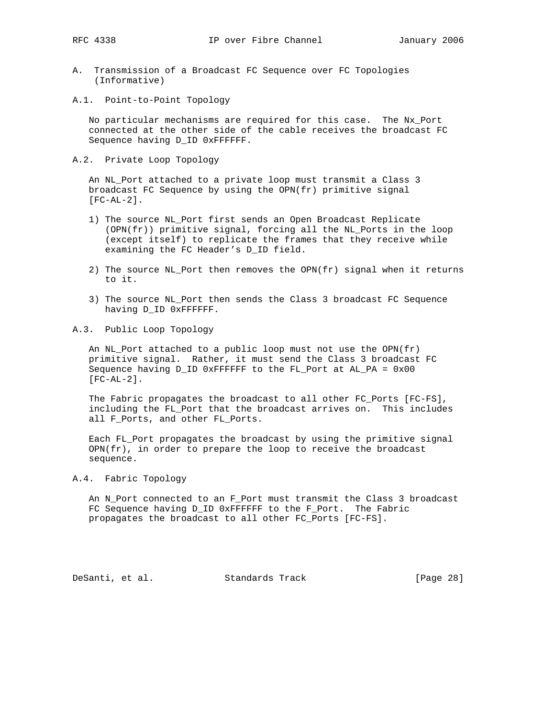- A. Transmission of a Broadcast FC Sequence over FC Topologies (Informative)
- A.1. Point-to-Point Topology

 No particular mechanisms are required for this case. The Nx\_Port connected at the other side of the cable receives the broadcast FC Sequence having D\_ID 0xFFFFFF.

A.2. Private Loop Topology

 An NL\_Port attached to a private loop must transmit a Class 3 broadcast FC Sequence by using the OPN(fr) primitive signal [FC-AL-2].

- 1) The source NL\_Port first sends an Open Broadcast Replicate (OPN(fr)) primitive signal, forcing all the NL\_Ports in the loop (except itself) to replicate the frames that they receive while examining the FC Header's D\_ID field.
- 2) The source NL\_Port then removes the OPN(fr) signal when it returns to it.
- 3) The source NL\_Port then sends the Class 3 broadcast FC Sequence having D\_ID 0xFFFFFF.
- A.3. Public Loop Topology

 An NL\_Port attached to a public loop must not use the OPN(fr) primitive signal. Rather, it must send the Class 3 broadcast FC Sequence having D\_ID 0xFFFFFF to the FL Port at AL\_PA =  $0x00$  $[FC-AL-2]$ .

 The Fabric propagates the broadcast to all other FC\_Ports [FC-FS], including the FL\_Port that the broadcast arrives on. This includes all F\_Ports, and other FL\_Ports.

 Each FL\_Port propagates the broadcast by using the primitive signal  $OPN(fr)$ , in order to prepare the loop to receive the broadcast sequence.

## A.4. Fabric Topology

 An N\_Port connected to an F\_Port must transmit the Class 3 broadcast FC Sequence having D\_ID 0xFFFFFF to the F\_Port. The Fabric propagates the broadcast to all other FC\_Ports [FC-FS].

DeSanti, et al. Standards Track [Page 28]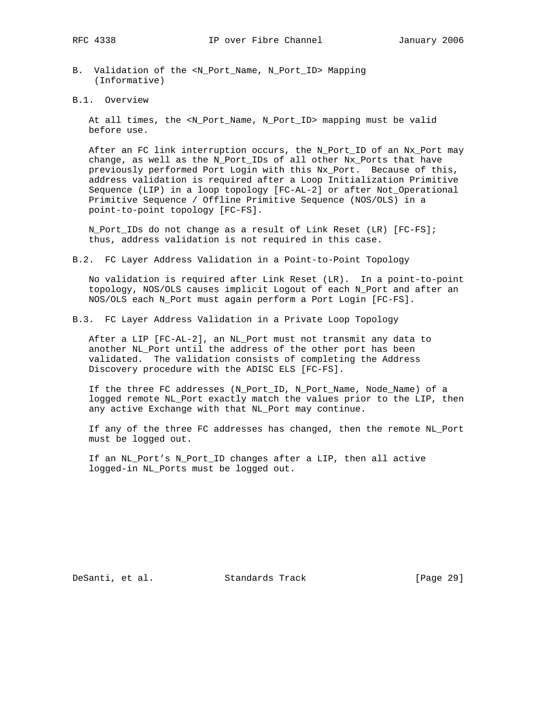- B. Validation of the <N\_Port\_Name, N\_Port\_ID> Mapping (Informative)
- B.1. Overview

 At all times, the <N\_Port\_Name, N\_Port\_ID> mapping must be valid before use.

 After an FC link interruption occurs, the N\_Port\_ID of an Nx\_Port may change, as well as the N\_Port\_IDs of all other Nx\_Ports that have previously performed Port Login with this Nx\_Port. Because of this, address validation is required after a Loop Initialization Primitive Sequence (LIP) in a loop topology [FC-AL-2] or after Not\_Operational Primitive Sequence / Offline Primitive Sequence (NOS/OLS) in a point-to-point topology [FC-FS].

 N\_Port\_IDs do not change as a result of Link Reset (LR) [FC-FS]; thus, address validation is not required in this case.

B.2. FC Layer Address Validation in a Point-to-Point Topology

 No validation is required after Link Reset (LR). In a point-to-point topology, NOS/OLS causes implicit Logout of each N\_Port and after an NOS/OLS each N\_Port must again perform a Port Login [FC-FS].

B.3. FC Layer Address Validation in a Private Loop Topology

 After a LIP [FC-AL-2], an NL\_Port must not transmit any data to another NL\_Port until the address of the other port has been validated. The validation consists of completing the Address Discovery procedure with the ADISC ELS [FC-FS].

 If the three FC addresses (N\_Port\_ID, N\_Port\_Name, Node\_Name) of a logged remote NL\_Port exactly match the values prior to the LIP, then any active Exchange with that NL\_Port may continue.

 If any of the three FC addresses has changed, then the remote NL\_Port must be logged out.

 If an NL\_Port's N\_Port\_ID changes after a LIP, then all active logged-in NL\_Ports must be logged out.

DeSanti, et al. Standards Track [Page 29]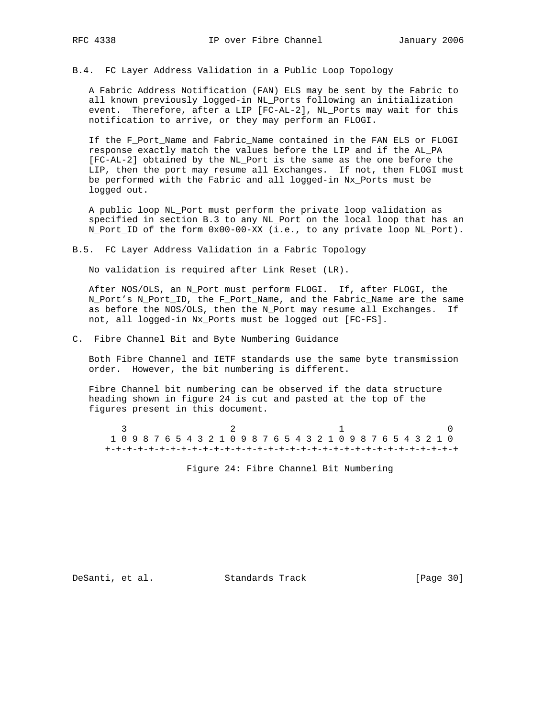B.4. FC Layer Address Validation in a Public Loop Topology

 A Fabric Address Notification (FAN) ELS may be sent by the Fabric to all known previously logged-in NL\_Ports following an initialization event. Therefore, after a LIP [FC-AL-2], NL\_Ports may wait for this notification to arrive, or they may perform an FLOGI.

 If the F\_Port\_Name and Fabric\_Name contained in the FAN ELS or FLOGI response exactly match the values before the LIP and if the AL\_PA [FC-AL-2] obtained by the NL\_Port is the same as the one before the LIP, then the port may resume all Exchanges. If not, then FLOGI must be performed with the Fabric and all logged-in Nx\_Ports must be logged out.

 A public loop NL\_Port must perform the private loop validation as specified in section B.3 to any NL\_Port on the local loop that has an N\_Port\_ID of the form 0x00-00-XX (i.e., to any private loop NL\_Port).

B.5. FC Layer Address Validation in a Fabric Topology

No validation is required after Link Reset (LR).

 After NOS/OLS, an N\_Port must perform FLOGI. If, after FLOGI, the N\_Port's N\_Port\_ID, the F\_Port\_Name, and the Fabric\_Name are the same as before the NOS/OLS, then the N\_Port may resume all Exchanges. If not, all logged-in Nx\_Ports must be logged out [FC-FS].

C. Fibre Channel Bit and Byte Numbering Guidance

 Both Fibre Channel and IETF standards use the same byte transmission order. However, the bit numbering is different.

 Fibre Channel bit numbering can be observed if the data structure heading shown in figure 24 is cut and pasted at the top of the figures present in this document.

 $\begin{array}{ccccccccccccccccc}\n3 & & & & 2 & & & & 1 & & & & & 0\n\end{array}$  1 0 9 8 7 6 5 4 3 2 1 0 9 8 7 6 5 4 3 2 1 0 9 8 7 6 5 4 3 2 1 0 +-+-+-+-+-+-+-+-+-+-+-+-+-+-+-+-+-+-+-+-+-+-+-+-+-+-+-+-+-+-+-+-+

Figure 24: Fibre Channel Bit Numbering

DeSanti, et al. Standards Track [Page 30]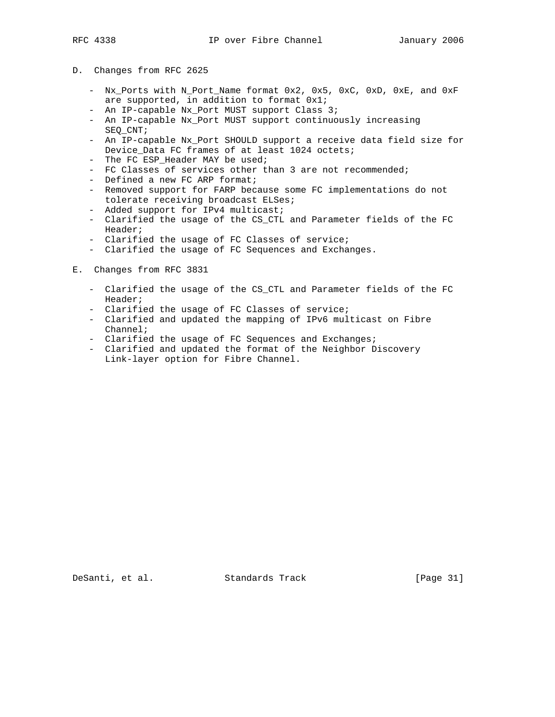## D. Changes from RFC 2625

- Nx\_Ports with N\_Port\_Name format 0x2, 0x5, 0xC, 0xD, 0xE, and 0xF are supported, in addition to format 0x1;
- An IP-capable Nx\_Port MUST support Class 3;
- An IP-capable Nx\_Port MUST support continuously increasing SEQ\_CNT;
- An IP-capable Nx\_Port SHOULD support a receive data field size for Device\_Data FC frames of at least 1024 octets;
- The FC ESP Header MAY be used;
- FC Classes of services other than 3 are not recommended;
- Defined a new FC ARP format;
- Removed support for FARP because some FC implementations do not tolerate receiving broadcast ELSes;
- Added support for IPv4 multicast;
- Clarified the usage of the CS\_CTL and Parameter fields of the FC Header;
- Clarified the usage of FC Classes of service;
- Clarified the usage of FC Sequences and Exchanges.
- E. Changes from RFC 3831
	- Clarified the usage of the CS\_CTL and Parameter fields of the FC Header;
	- Clarified the usage of FC Classes of service;
	- Clarified and updated the mapping of IPv6 multicast on Fibre Channel;
	- Clarified the usage of FC Sequences and Exchanges;
	- Clarified and updated the format of the Neighbor Discovery Link-layer option for Fibre Channel.

DeSanti, et al. Standards Track [Page 31]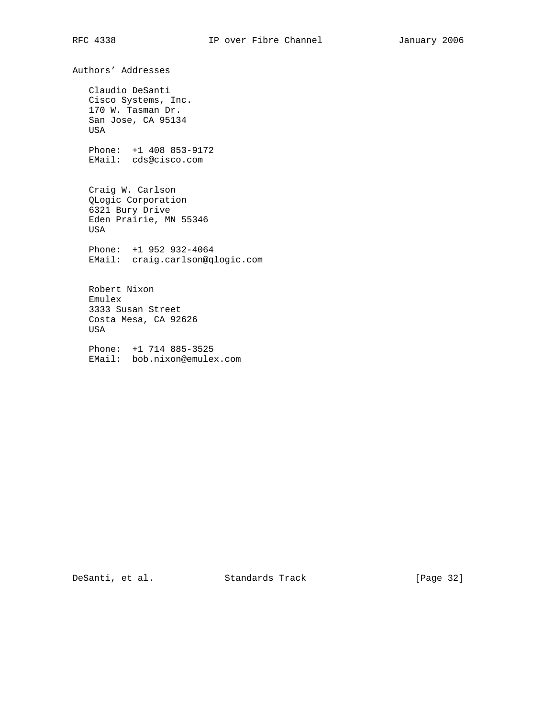Authors' Addresses Claudio DeSanti Cisco Systems, Inc. 170 W. Tasman Dr. San Jose, CA 95134 USA Phone: +1 408 853-9172 EMail: cds@cisco.com Craig W. Carlson QLogic Corporation 6321 Bury Drive Eden Prairie, MN 55346 USA Phone: +1 952 932-4064 EMail: craig.carlson@qlogic.com Robert Nixon Emulex 3333 Susan Street Costa Mesa, CA 92626 USA Phone: +1 714 885-3525 EMail: bob.nixon@emulex.com

DeSanti, et al. Standards Track [Page 32]